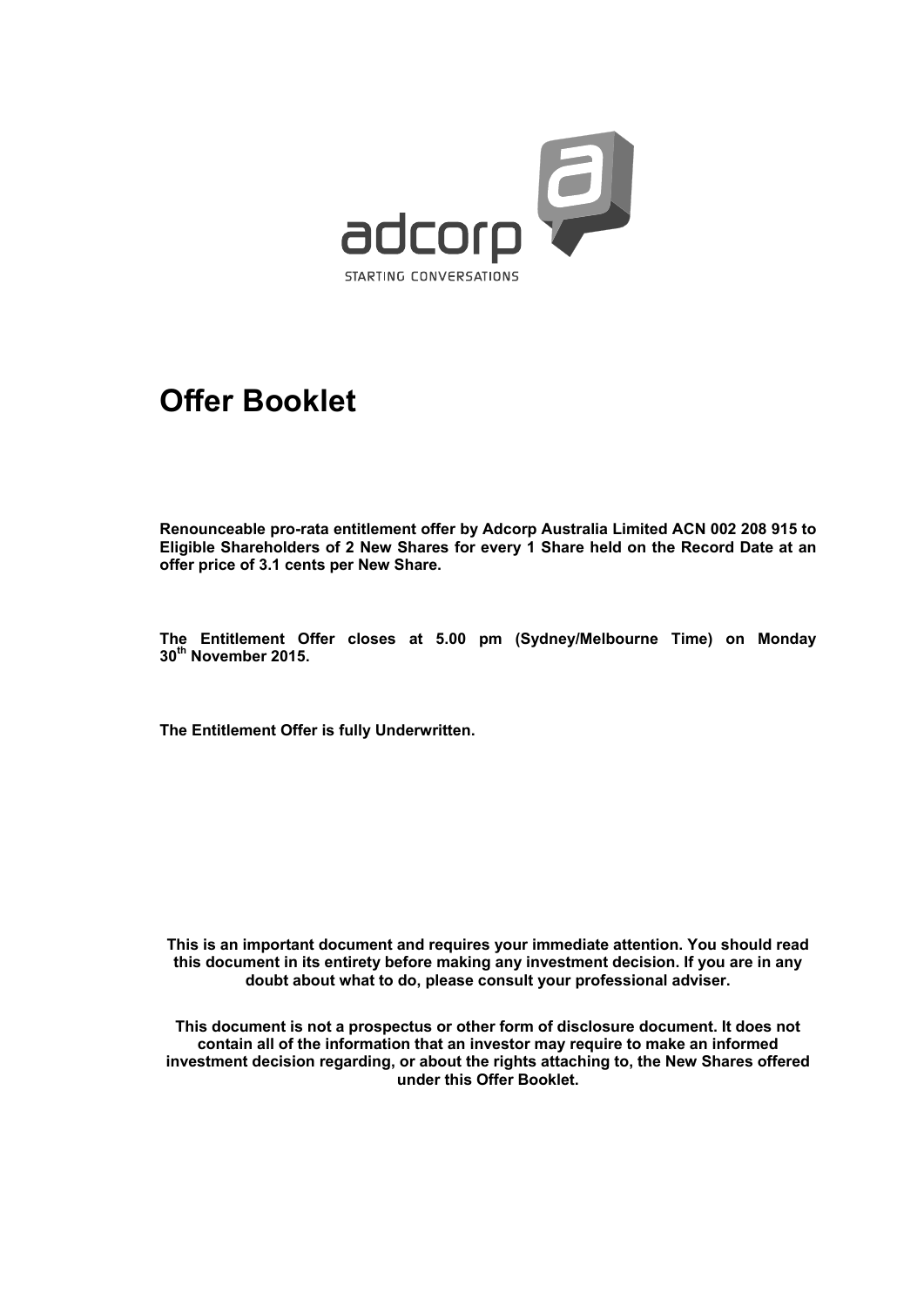

# **Offer Booklet**

**Renounceable pro-rata entitlement offer by Adcorp Australia Limited ACN 002 208 915 to Eligible Shareholders of 2 New Shares for every 1 Share held on the Record Date at an offer price of 3.1 cents per New Share.** 

**The Entitlement Offer closes at 5.00 pm (Sydney/Melbourne Time) on Monday 30th November 2015.** 

**The Entitlement Offer is fully Underwritten.** 

**This is an important document and requires your immediate attention. You should read this document in its entirety before making any investment decision. If you are in any doubt about what to do, please consult your professional adviser.** 

**This document is not a prospectus or other form of disclosure document. It does not contain all of the information that an investor may require to make an informed investment decision regarding, or about the rights attaching to, the New Shares offered under this Offer Booklet.**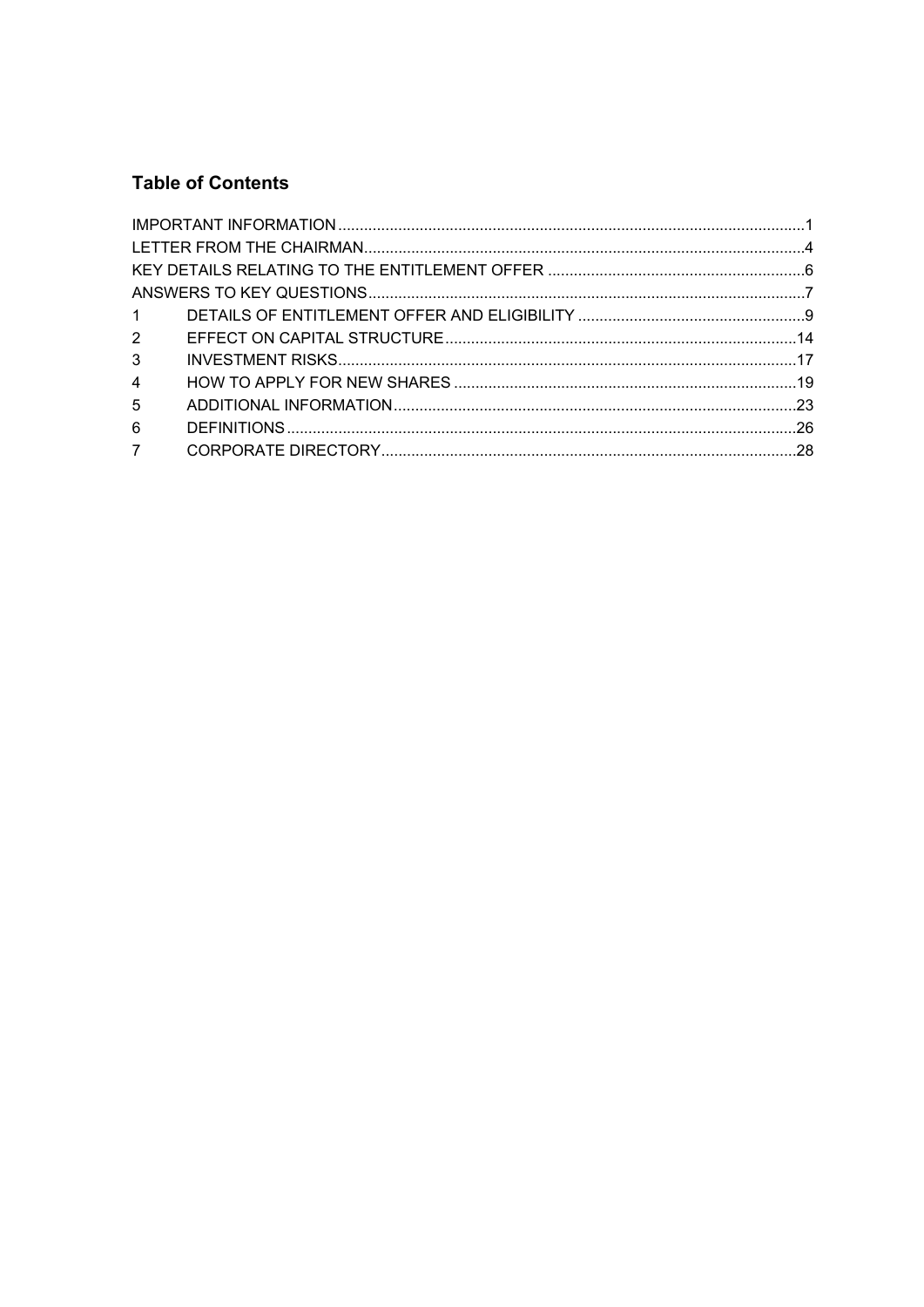# **Table of Contents**

| 3 <sup>7</sup> |  |
|----------------|--|
| $\overline{4}$ |  |
| 5 <sup>5</sup> |  |
| 6              |  |
| $7^{\circ}$    |  |
|                |  |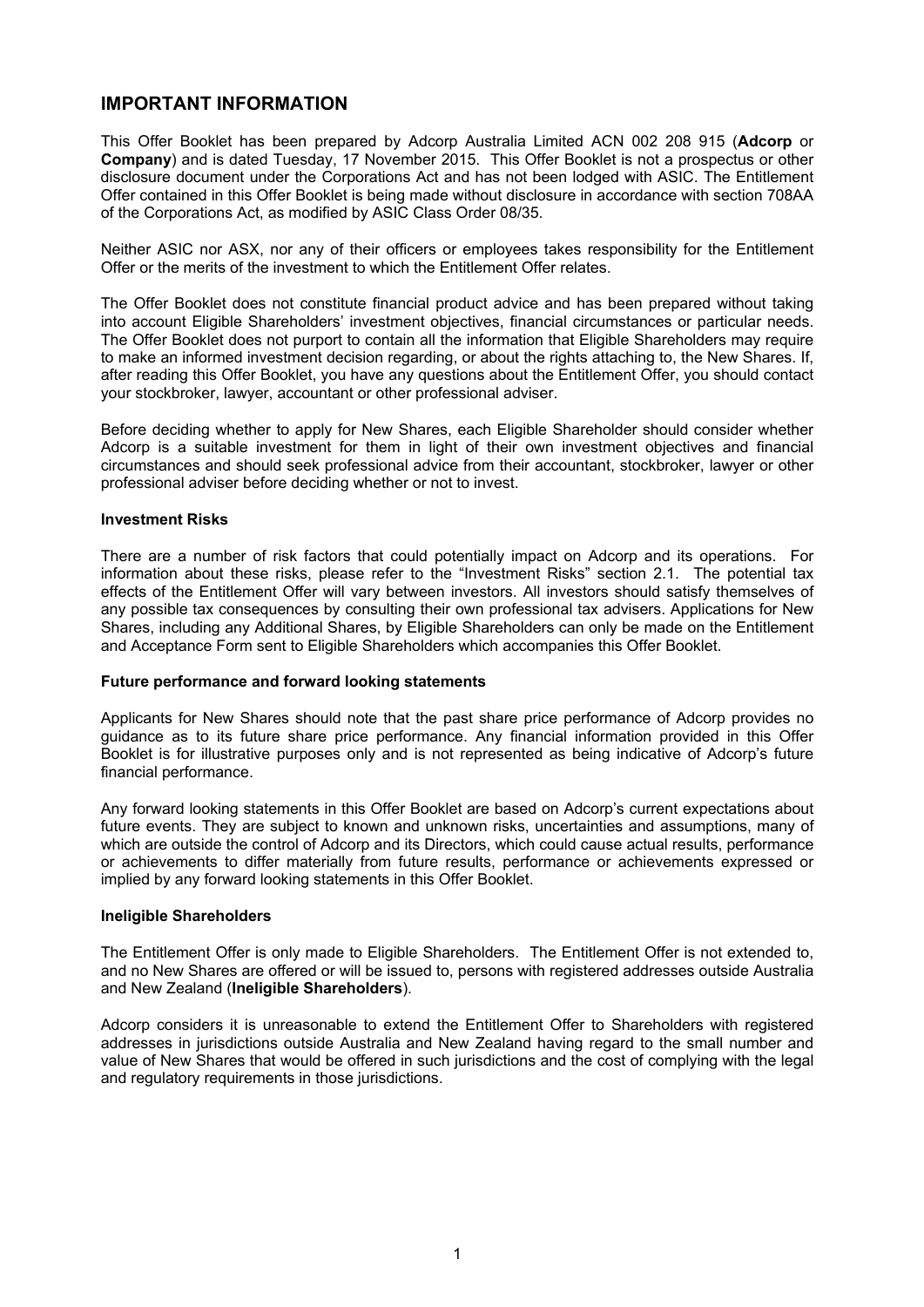### **IMPORTANT INFORMATION**

This Offer Booklet has been prepared by Adcorp Australia Limited ACN 002 208 915 (**Adcorp** or **Company**) and is dated Tuesday, 17 November 2015. This Offer Booklet is not a prospectus or other disclosure document under the Corporations Act and has not been lodged with ASIC. The Entitlement Offer contained in this Offer Booklet is being made without disclosure in accordance with section 708AA of the Corporations Act, as modified by ASIC Class Order 08/35.

Neither ASIC nor ASX, nor any of their officers or employees takes responsibility for the Entitlement Offer or the merits of the investment to which the Entitlement Offer relates.

The Offer Booklet does not constitute financial product advice and has been prepared without taking into account Eligible Shareholders' investment objectives, financial circumstances or particular needs. The Offer Booklet does not purport to contain all the information that Eligible Shareholders may require to make an informed investment decision regarding, or about the rights attaching to, the New Shares. If, after reading this Offer Booklet, you have any questions about the Entitlement Offer, you should contact your stockbroker, lawyer, accountant or other professional adviser.

Before deciding whether to apply for New Shares, each Eligible Shareholder should consider whether Adcorp is a suitable investment for them in light of their own investment objectives and financial circumstances and should seek professional advice from their accountant, stockbroker, lawyer or other professional adviser before deciding whether or not to invest.

### **Investment Risks**

There are a number of risk factors that could potentially impact on Adcorp and its operations. For information about these risks, please refer to the "Investment Risks" section 2.1. The potential tax effects of the Entitlement Offer will vary between investors. All investors should satisfy themselves of any possible tax consequences by consulting their own professional tax advisers. Applications for New Shares, including any Additional Shares, by Eligible Shareholders can only be made on the Entitlement and Acceptance Form sent to Eligible Shareholders which accompanies this Offer Booklet.

### **Future performance and forward looking statements**

Applicants for New Shares should note that the past share price performance of Adcorp provides no guidance as to its future share price performance. Any financial information provided in this Offer Booklet is for illustrative purposes only and is not represented as being indicative of Adcorp's future financial performance.

Any forward looking statements in this Offer Booklet are based on Adcorp's current expectations about future events. They are subject to known and unknown risks, uncertainties and assumptions, many of which are outside the control of Adcorp and its Directors, which could cause actual results, performance or achievements to differ materially from future results, performance or achievements expressed or implied by any forward looking statements in this Offer Booklet.

### **Ineligible Shareholders**

The Entitlement Offer is only made to Eligible Shareholders. The Entitlement Offer is not extended to, and no New Shares are offered or will be issued to, persons with registered addresses outside Australia and New Zealand (**Ineligible Shareholders**).

Adcorp considers it is unreasonable to extend the Entitlement Offer to Shareholders with registered addresses in jurisdictions outside Australia and New Zealand having regard to the small number and value of New Shares that would be offered in such jurisdictions and the cost of complying with the legal and regulatory requirements in those jurisdictions.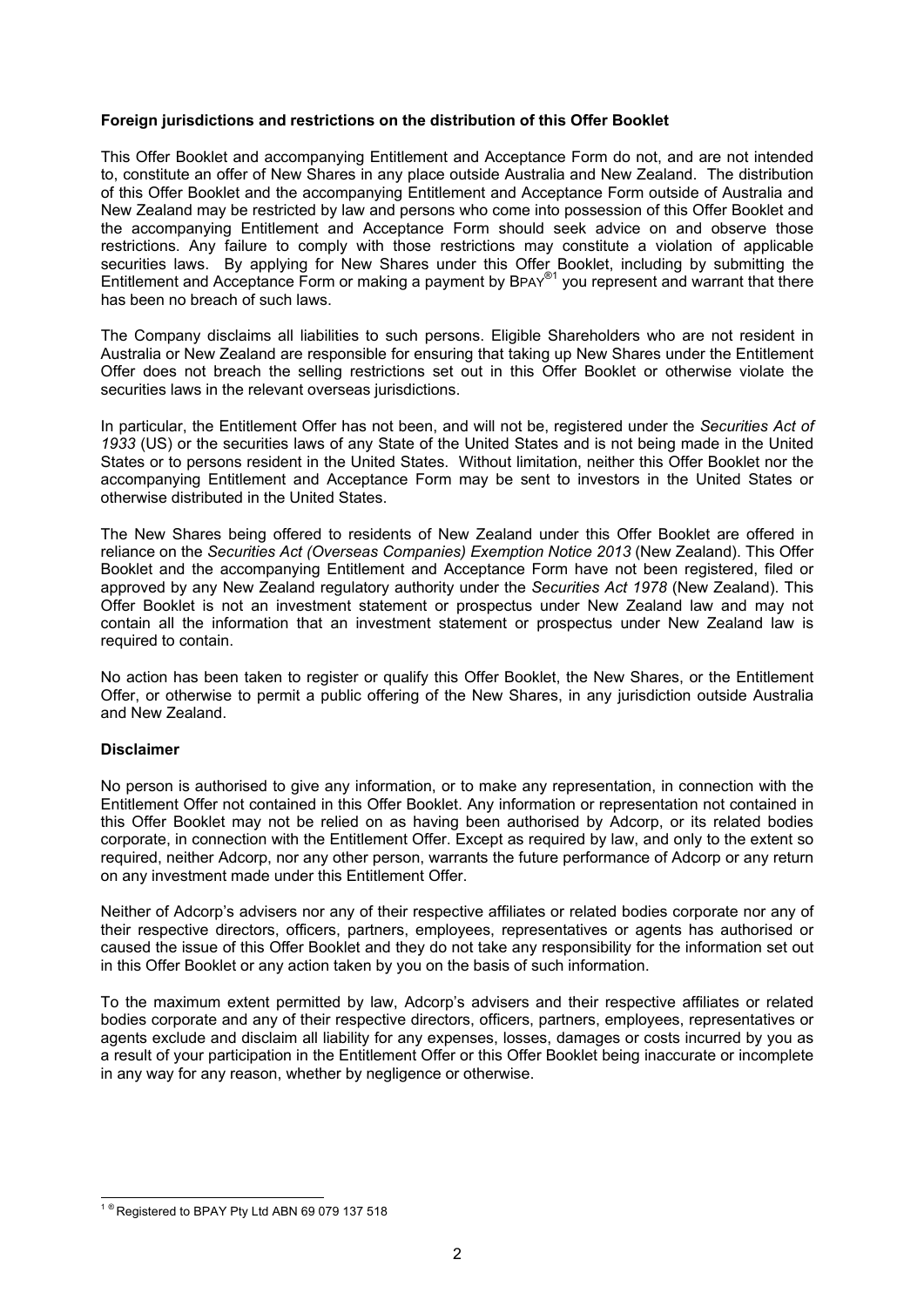### **Foreign jurisdictions and restrictions on the distribution of this Offer Booklet**

This Offer Booklet and accompanying Entitlement and Acceptance Form do not, and are not intended to, constitute an offer of New Shares in any place outside Australia and New Zealand. The distribution of this Offer Booklet and the accompanying Entitlement and Acceptance Form outside of Australia and New Zealand may be restricted by law and persons who come into possession of this Offer Booklet and the accompanying Entitlement and Acceptance Form should seek advice on and observe those restrictions. Any failure to comply with those restrictions may constitute a violation of applicable securities laws. By applying for New Shares under this Offer Booklet, including by submitting the Entitlement and Acceptance Form or making a payment by BPAY®<sup>1</sup> you represent and warrant that there has been no breach of such laws.

The Company disclaims all liabilities to such persons. Eligible Shareholders who are not resident in Australia or New Zealand are responsible for ensuring that taking up New Shares under the Entitlement Offer does not breach the selling restrictions set out in this Offer Booklet or otherwise violate the securities laws in the relevant overseas jurisdictions.

In particular, the Entitlement Offer has not been, and will not be, registered under the *Securities Act of 1933* (US) or the securities laws of any State of the United States and is not being made in the United States or to persons resident in the United States. Without limitation, neither this Offer Booklet nor the accompanying Entitlement and Acceptance Form may be sent to investors in the United States or otherwise distributed in the United States.

The New Shares being offered to residents of New Zealand under this Offer Booklet are offered in reliance on the *Securities Act (Overseas Companies) Exemption Notice 2013* (New Zealand). This Offer Booklet and the accompanying Entitlement and Acceptance Form have not been registered, filed or approved by any New Zealand regulatory authority under the *Securities Act 1978* (New Zealand). This Offer Booklet is not an investment statement or prospectus under New Zealand law and may not contain all the information that an investment statement or prospectus under New Zealand law is required to contain.

No action has been taken to register or qualify this Offer Booklet, the New Shares, or the Entitlement Offer, or otherwise to permit a public offering of the New Shares, in any jurisdiction outside Australia and New Zealand.

### **Disclaimer**

No person is authorised to give any information, or to make any representation, in connection with the Entitlement Offer not contained in this Offer Booklet. Any information or representation not contained in this Offer Booklet may not be relied on as having been authorised by Adcorp, or its related bodies corporate, in connection with the Entitlement Offer. Except as required by law, and only to the extent so required, neither Adcorp, nor any other person, warrants the future performance of Adcorp or any return on any investment made under this Entitlement Offer.

Neither of Adcorp's advisers nor any of their respective affiliates or related bodies corporate nor any of their respective directors, officers, partners, employees, representatives or agents has authorised or caused the issue of this Offer Booklet and they do not take any responsibility for the information set out in this Offer Booklet or any action taken by you on the basis of such information.

To the maximum extent permitted by law, Adcorp's advisers and their respective affiliates or related bodies corporate and any of their respective directors, officers, partners, employees, representatives or agents exclude and disclaim all liability for any expenses, losses, damages or costs incurred by you as a result of your participation in the Entitlement Offer or this Offer Booklet being inaccurate or incomplete in any way for any reason, whether by negligence or otherwise.

l  $1^{\circ}$  Registered to BPAY Pty Ltd ABN 69 079 137 518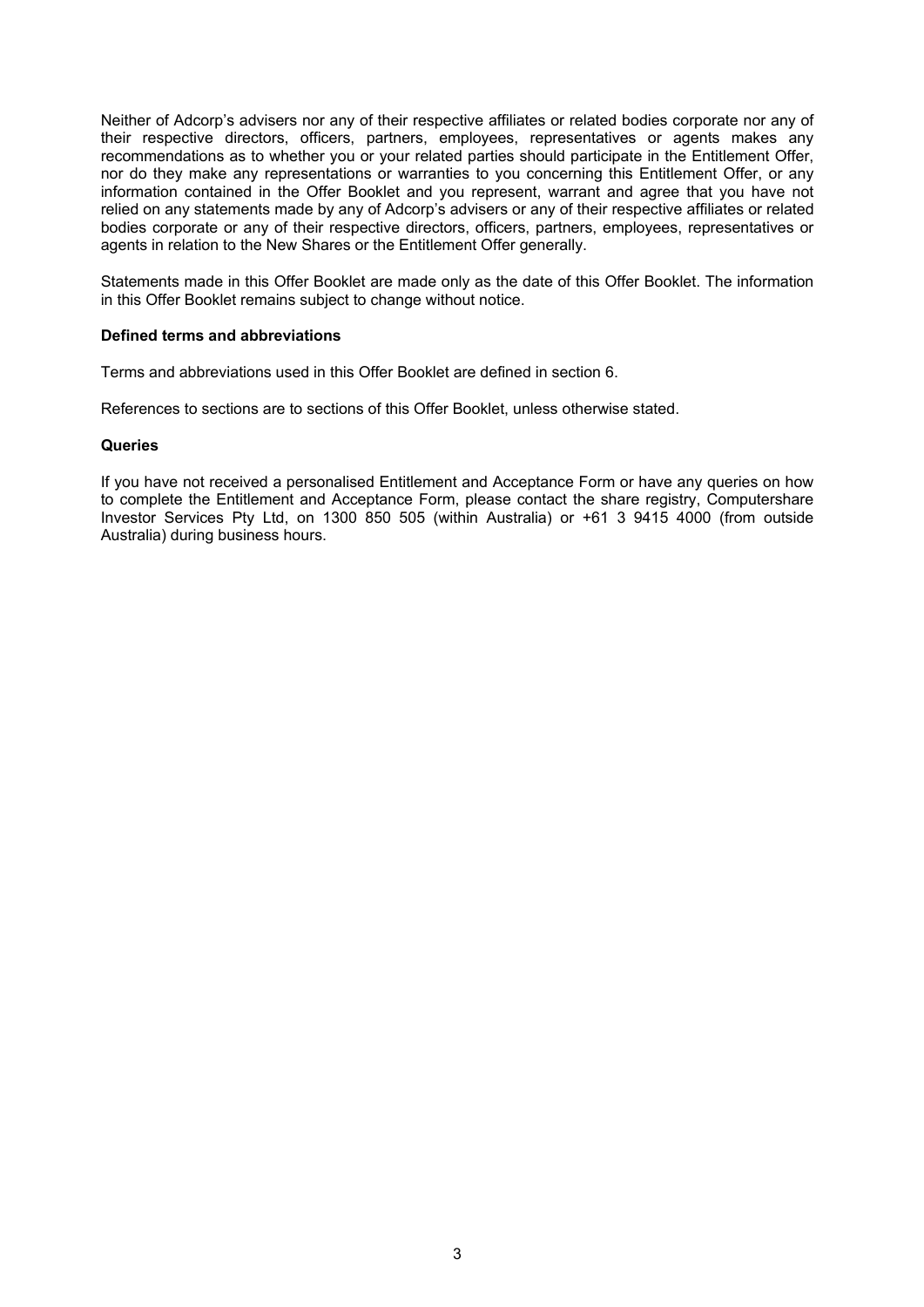Neither of Adcorp's advisers nor any of their respective affiliates or related bodies corporate nor any of their respective directors, officers, partners, employees, representatives or agents makes any recommendations as to whether you or your related parties should participate in the Entitlement Offer, nor do they make any representations or warranties to you concerning this Entitlement Offer, or any information contained in the Offer Booklet and you represent, warrant and agree that you have not relied on any statements made by any of Adcorp's advisers or any of their respective affiliates or related bodies corporate or any of their respective directors, officers, partners, employees, representatives or agents in relation to the New Shares or the Entitlement Offer generally.

Statements made in this Offer Booklet are made only as the date of this Offer Booklet. The information in this Offer Booklet remains subject to change without notice.

#### **Defined terms and abbreviations**

Terms and abbreviations used in this Offer Booklet are defined in section 6.

References to sections are to sections of this Offer Booklet, unless otherwise stated.

#### **Queries**

If you have not received a personalised Entitlement and Acceptance Form or have any queries on how to complete the Entitlement and Acceptance Form, please contact the share registry, Computershare Investor Services Pty Ltd, on 1300 850 505 (within Australia) or +61 3 9415 4000 (from outside Australia) during business hours.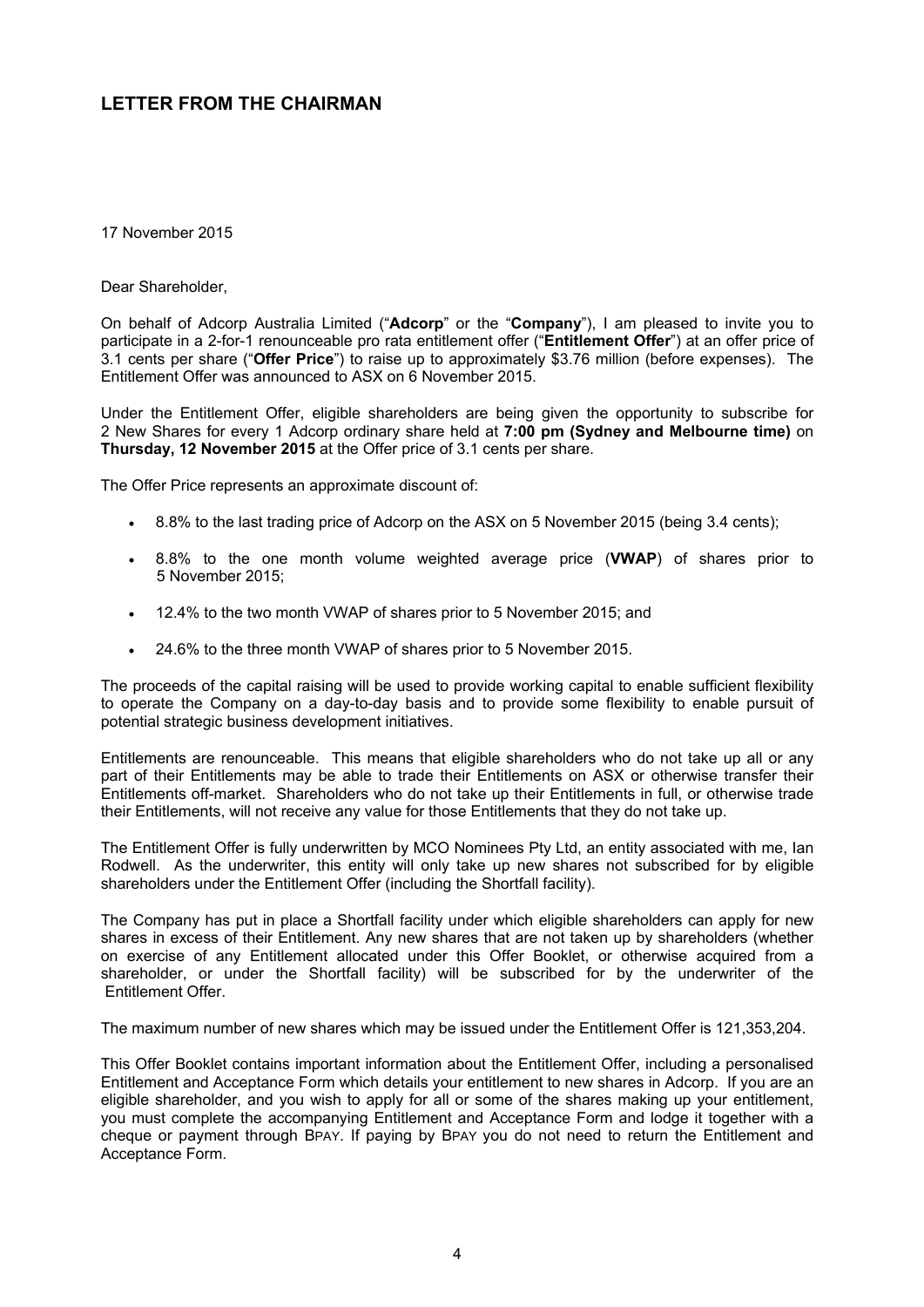### **LETTER FROM THE CHAIRMAN**

17 November 2015

Dear Shareholder,

On behalf of Adcorp Australia Limited ("**Adcorp**" or the "**Company**"), I am pleased to invite you to participate in a 2-for-1 renounceable pro rata entitlement offer ("**Entitlement Offer**") at an offer price of 3.1 cents per share ("**Offer Price**") to raise up to approximately \$3.76 million (before expenses). The Entitlement Offer was announced to ASX on 6 November 2015.

Under the Entitlement Offer, eligible shareholders are being given the opportunity to subscribe for 2 New Shares for every 1 Adcorp ordinary share held at **7:00 pm (Sydney and Melbourne time)** on **Thursday, 12 November 2015** at the Offer price of 3.1 cents per share.

The Offer Price represents an approximate discount of:

- 8.8% to the last trading price of Adcorp on the ASX on 5 November 2015 (being 3.4 cents);
- 8.8% to the one month volume weighted average price (**VWAP**) of shares prior to 5 November 2015;
- 12.4% to the two month VWAP of shares prior to 5 November 2015; and
- 24.6% to the three month VWAP of shares prior to 5 November 2015.

The proceeds of the capital raising will be used to provide working capital to enable sufficient flexibility to operate the Company on a day-to-day basis and to provide some flexibility to enable pursuit of potential strategic business development initiatives.

Entitlements are renounceable. This means that eligible shareholders who do not take up all or any part of their Entitlements may be able to trade their Entitlements on ASX or otherwise transfer their Entitlements off-market. Shareholders who do not take up their Entitlements in full, or otherwise trade their Entitlements, will not receive any value for those Entitlements that they do not take up.

The Entitlement Offer is fully underwritten by MCO Nominees Pty Ltd, an entity associated with me, Ian Rodwell. As the underwriter, this entity will only take up new shares not subscribed for by eligible shareholders under the Entitlement Offer (including the Shortfall facility).

The Company has put in place a Shortfall facility under which eligible shareholders can apply for new shares in excess of their Entitlement. Any new shares that are not taken up by shareholders (whether on exercise of any Entitlement allocated under this Offer Booklet, or otherwise acquired from a shareholder, or under the Shortfall facility) will be subscribed for by the underwriter of the Entitlement Offer.

The maximum number of new shares which may be issued under the Entitlement Offer is 121,353,204.

This Offer Booklet contains important information about the Entitlement Offer, including a personalised Entitlement and Acceptance Form which details your entitlement to new shares in Adcorp. If you are an eligible shareholder, and you wish to apply for all or some of the shares making up your entitlement, you must complete the accompanying Entitlement and Acceptance Form and lodge it together with a cheque or payment through BPAY. If paying by BPAY you do not need to return the Entitlement and Acceptance Form.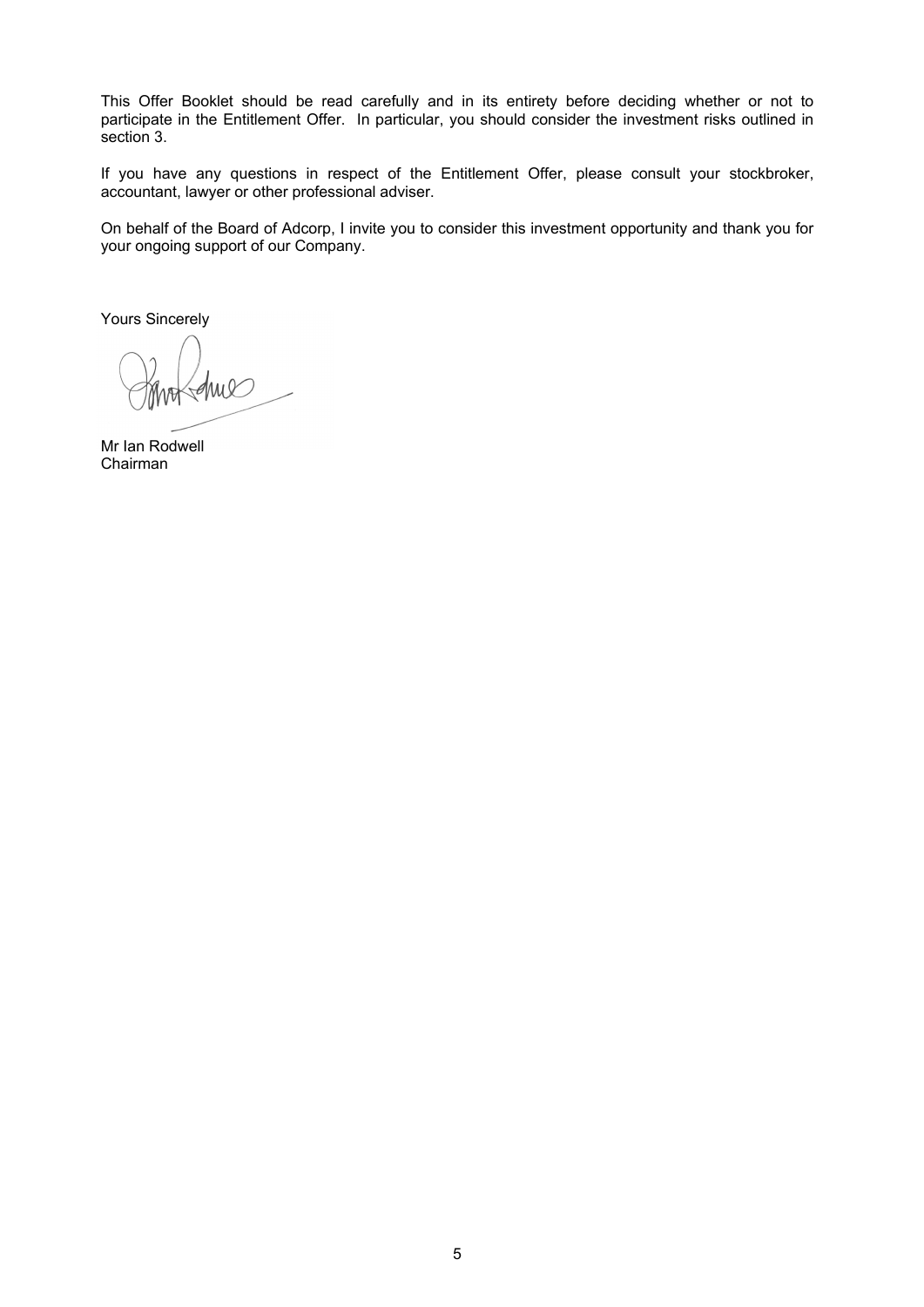This Offer Booklet should be read carefully and in its entirety before deciding whether or not to participate in the Entitlement Offer. In particular, you should consider the investment risks outlined in section 3.

If you have any questions in respect of the Entitlement Offer, please consult your stockbroker, accountant, lawyer or other professional adviser.

On behalf of the Board of Adcorp, I invite you to consider this investment opportunity and thank you for your ongoing support of our Company.

Yours Sincerely

Mr Ian Rodwell Chairman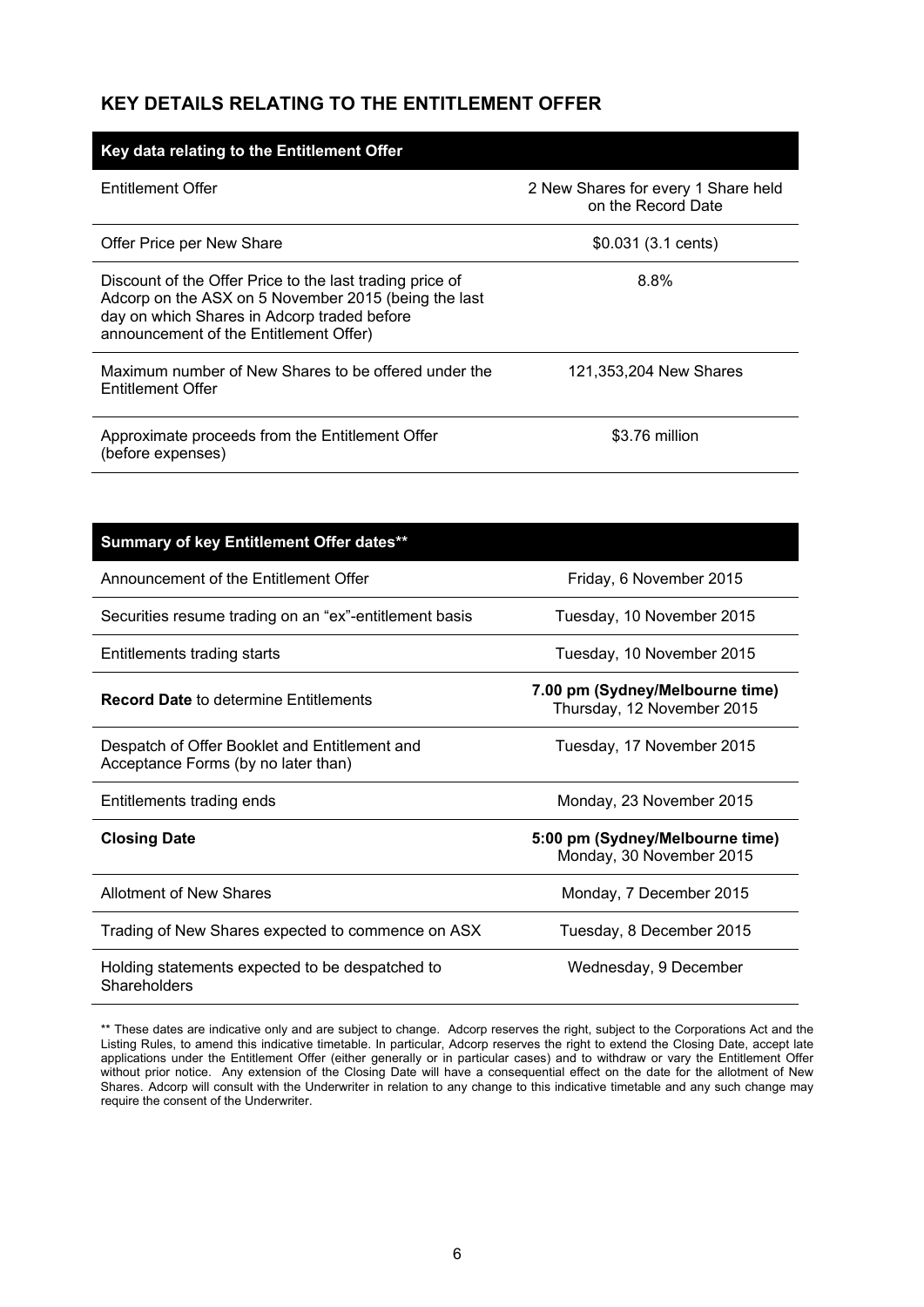### **KEY DETAILS RELATING TO THE ENTITLEMENT OFFER**

| Key data relating to the Entitlement Offer                                                                                                                                                                |                                                           |  |  |  |  |
|-----------------------------------------------------------------------------------------------------------------------------------------------------------------------------------------------------------|-----------------------------------------------------------|--|--|--|--|
| Entitlement Offer                                                                                                                                                                                         | 2 New Shares for every 1 Share held<br>on the Record Date |  |  |  |  |
| Offer Price per New Share                                                                                                                                                                                 | \$0.031 (3.1 cents)                                       |  |  |  |  |
| Discount of the Offer Price to the last trading price of<br>Adcorp on the ASX on 5 November 2015 (being the last<br>day on which Shares in Adcorp traded before<br>announcement of the Entitlement Offer) | 8.8%                                                      |  |  |  |  |
| Maximum number of New Shares to be offered under the<br>Entitlement Offer                                                                                                                                 | 121.353.204 New Shares                                    |  |  |  |  |
| Approximate proceeds from the Entitlement Offer<br>(before expenses)                                                                                                                                      | \$3.76 million                                            |  |  |  |  |

| Summary of key Entitlement Offer dates**                                             |                                                               |
|--------------------------------------------------------------------------------------|---------------------------------------------------------------|
| Announcement of the Entitlement Offer                                                | Friday, 6 November 2015                                       |
| Securities resume trading on an "ex"-entitlement basis                               | Tuesday, 10 November 2015                                     |
| Entitlements trading starts                                                          | Tuesday, 10 November 2015                                     |
| <b>Record Date to determine Entitlements</b>                                         | 7.00 pm (Sydney/Melbourne time)<br>Thursday, 12 November 2015 |
| Despatch of Offer Booklet and Entitlement and<br>Acceptance Forms (by no later than) | Tuesday, 17 November 2015                                     |
| Entitlements trading ends                                                            | Monday, 23 November 2015                                      |
| <b>Closing Date</b>                                                                  | 5:00 pm (Sydney/Melbourne time)<br>Monday, 30 November 2015   |
| Allotment of New Shares                                                              | Monday, 7 December 2015                                       |
| Trading of New Shares expected to commence on ASX                                    | Tuesday, 8 December 2015                                      |
| Holding statements expected to be despatched to<br>Shareholders                      | Wednesday, 9 December                                         |

\*\* These dates are indicative only and are subject to change. Adcorp reserves the right, subject to the Corporations Act and the Listing Rules, to amend this indicative timetable. In particular, Adcorp reserves the right to extend the Closing Date, accept late applications under the Entitlement Offer (either generally or in particular cases) and to withdraw or vary the Entitlement Offer without prior notice. Any extension of the Closing Date will have a consequential effect on the date for the allotment of New Shares. Adcorp will consult with the Underwriter in relation to any change to this indicative timetable and any such change may require the consent of the Underwriter.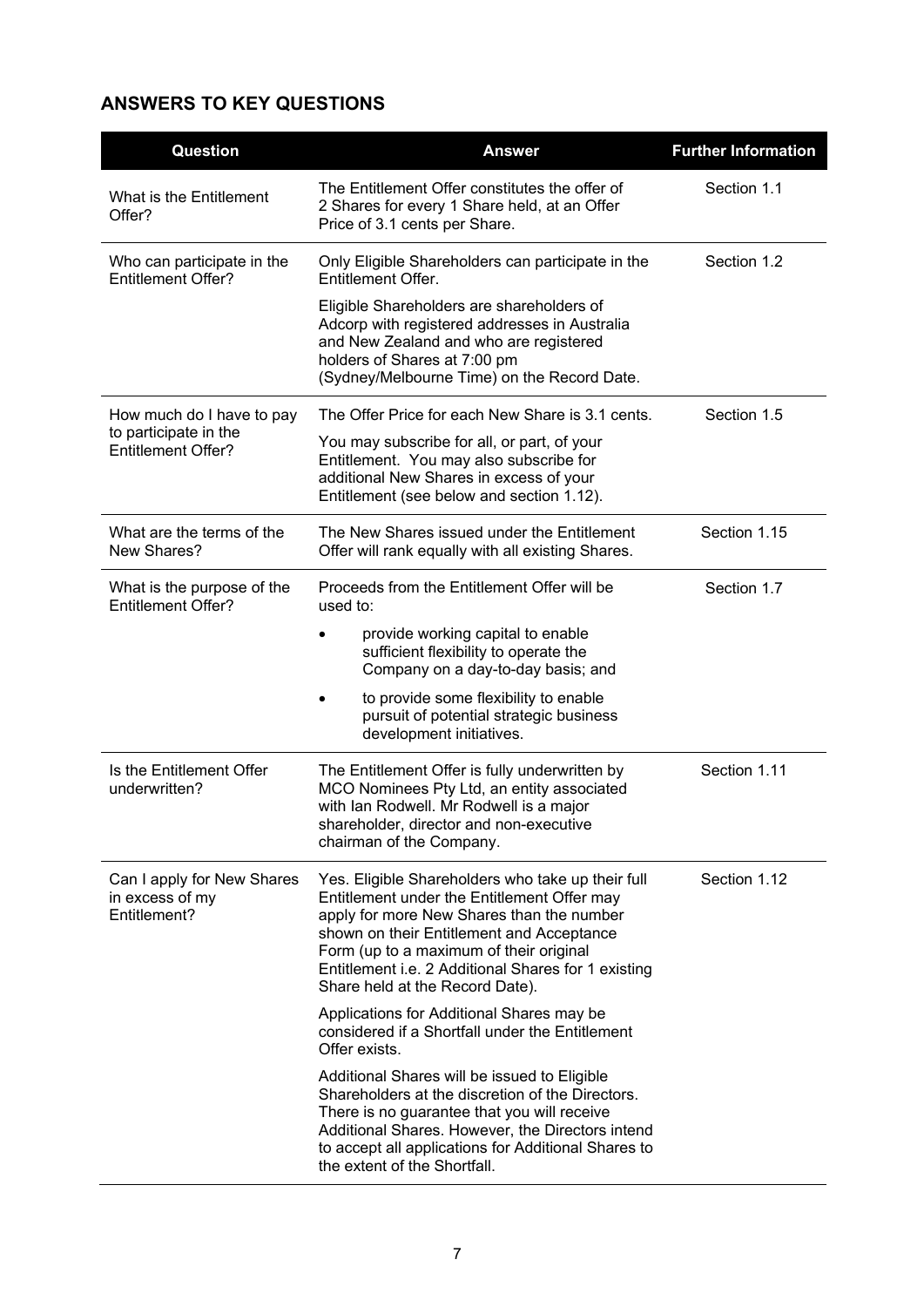## **ANSWERS TO KEY QUESTIONS**

| Question                                                      | <b>Answer</b>                                                                                                                                                                                                                                                                                                                   | <b>Further Information</b> |
|---------------------------------------------------------------|---------------------------------------------------------------------------------------------------------------------------------------------------------------------------------------------------------------------------------------------------------------------------------------------------------------------------------|----------------------------|
| What is the Entitlement<br>Offer?                             | The Entitlement Offer constitutes the offer of<br>2 Shares for every 1 Share held, at an Offer<br>Price of 3.1 cents per Share.                                                                                                                                                                                                 | Section 1.1                |
| Who can participate in the<br><b>Entitlement Offer?</b>       | Only Eligible Shareholders can participate in the<br>Entitlement Offer.                                                                                                                                                                                                                                                         | Section 1.2                |
|                                                               | Eligible Shareholders are shareholders of<br>Adcorp with registered addresses in Australia<br>and New Zealand and who are registered<br>holders of Shares at 7:00 pm<br>(Sydney/Melbourne Time) on the Record Date.                                                                                                             |                            |
| How much do I have to pay                                     | The Offer Price for each New Share is 3.1 cents.                                                                                                                                                                                                                                                                                | Section 1.5                |
| to participate in the<br><b>Entitlement Offer?</b>            | You may subscribe for all, or part, of your<br>Entitlement. You may also subscribe for<br>additional New Shares in excess of your<br>Entitlement (see below and section 1.12).                                                                                                                                                  |                            |
| What are the terms of the<br>New Shares?                      | The New Shares issued under the Entitlement<br>Offer will rank equally with all existing Shares.                                                                                                                                                                                                                                | Section 1.15               |
| What is the purpose of the<br><b>Entitlement Offer?</b>       | Proceeds from the Entitlement Offer will be<br>used to:                                                                                                                                                                                                                                                                         | Section 1.7                |
|                                                               | provide working capital to enable<br>sufficient flexibility to operate the<br>Company on a day-to-day basis; and                                                                                                                                                                                                                |                            |
|                                                               | to provide some flexibility to enable<br>pursuit of potential strategic business<br>development initiatives.                                                                                                                                                                                                                    |                            |
| Is the Entitlement Offer<br>underwritten?                     | The Entitlement Offer is fully underwritten by<br>MCO Nominees Pty Ltd, an entity associated<br>with Ian Rodwell. Mr Rodwell is a major<br>shareholder, director and non-executive<br>chairman of the Company.                                                                                                                  | Section 1.11               |
| Can I apply for New Shares<br>in excess of my<br>Entitlement? | Yes. Eligible Shareholders who take up their full<br>Entitlement under the Entitlement Offer may<br>apply for more New Shares than the number<br>shown on their Entitlement and Acceptance<br>Form (up to a maximum of their original<br>Entitlement i.e. 2 Additional Shares for 1 existing<br>Share held at the Record Date). | Section 1.12               |
|                                                               | Applications for Additional Shares may be<br>considered if a Shortfall under the Entitlement<br>Offer exists.                                                                                                                                                                                                                   |                            |
|                                                               | Additional Shares will be issued to Eligible<br>Shareholders at the discretion of the Directors.<br>There is no guarantee that you will receive<br>Additional Shares. However, the Directors intend<br>to accept all applications for Additional Shares to<br>the extent of the Shortfall.                                      |                            |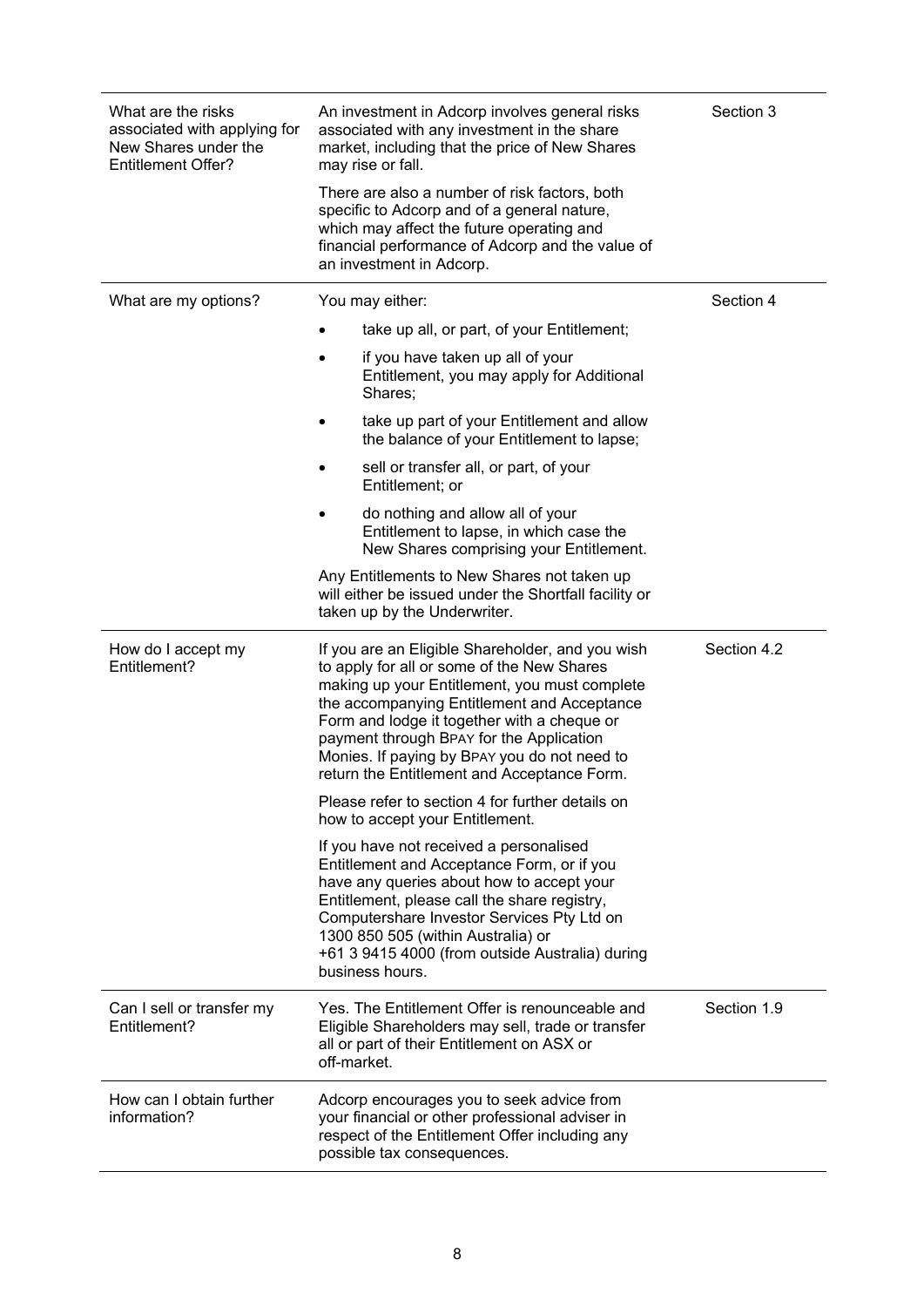| What are the risks<br>associated with applying for<br>New Shares under the<br><b>Entitlement Offer?</b> | An investment in Adcorp involves general risks<br>associated with any investment in the share<br>market, including that the price of New Shares<br>may rise or fall.                                                                                                                                                                                                                     | Section 3   |
|---------------------------------------------------------------------------------------------------------|------------------------------------------------------------------------------------------------------------------------------------------------------------------------------------------------------------------------------------------------------------------------------------------------------------------------------------------------------------------------------------------|-------------|
|                                                                                                         | There are also a number of risk factors, both<br>specific to Adcorp and of a general nature,<br>which may affect the future operating and<br>financial performance of Adcorp and the value of<br>an investment in Adcorp.                                                                                                                                                                |             |
| What are my options?                                                                                    | You may either:                                                                                                                                                                                                                                                                                                                                                                          | Section 4   |
|                                                                                                         | take up all, or part, of your Entitlement;                                                                                                                                                                                                                                                                                                                                               |             |
|                                                                                                         | if you have taken up all of your<br>Entitlement, you may apply for Additional<br>Shares;                                                                                                                                                                                                                                                                                                 |             |
|                                                                                                         | take up part of your Entitlement and allow<br>the balance of your Entitlement to lapse;                                                                                                                                                                                                                                                                                                  |             |
|                                                                                                         | sell or transfer all, or part, of your<br>Entitlement; or                                                                                                                                                                                                                                                                                                                                |             |
|                                                                                                         | do nothing and allow all of your<br>Entitlement to lapse, in which case the<br>New Shares comprising your Entitlement.                                                                                                                                                                                                                                                                   |             |
|                                                                                                         | Any Entitlements to New Shares not taken up<br>will either be issued under the Shortfall facility or<br>taken up by the Underwriter.                                                                                                                                                                                                                                                     |             |
| How do I accept my<br>Entitlement?                                                                      | If you are an Eligible Shareholder, and you wish<br>to apply for all or some of the New Shares<br>making up your Entitlement, you must complete<br>the accompanying Entitlement and Acceptance<br>Form and lodge it together with a cheque or<br>payment through BPAY for the Application<br>Monies. If paying by BPAY you do not need to<br>return the Entitlement and Acceptance Form. | Section 4.2 |
|                                                                                                         | Please refer to section 4 for further details on<br>how to accept your Entitlement.                                                                                                                                                                                                                                                                                                      |             |
|                                                                                                         |                                                                                                                                                                                                                                                                                                                                                                                          |             |
|                                                                                                         | If you have not received a personalised<br>Entitlement and Acceptance Form, or if you<br>have any queries about how to accept your<br>Entitlement, please call the share registry,<br>Computershare Investor Services Pty Ltd on<br>1300 850 505 (within Australia) or<br>+61 3 9415 4000 (from outside Australia) during<br>business hours.                                             |             |
| Can I sell or transfer my<br>Entitlement?                                                               | Yes. The Entitlement Offer is renounceable and<br>Eligible Shareholders may sell, trade or transfer<br>all or part of their Entitlement on ASX or<br>off-market.                                                                                                                                                                                                                         | Section 1.9 |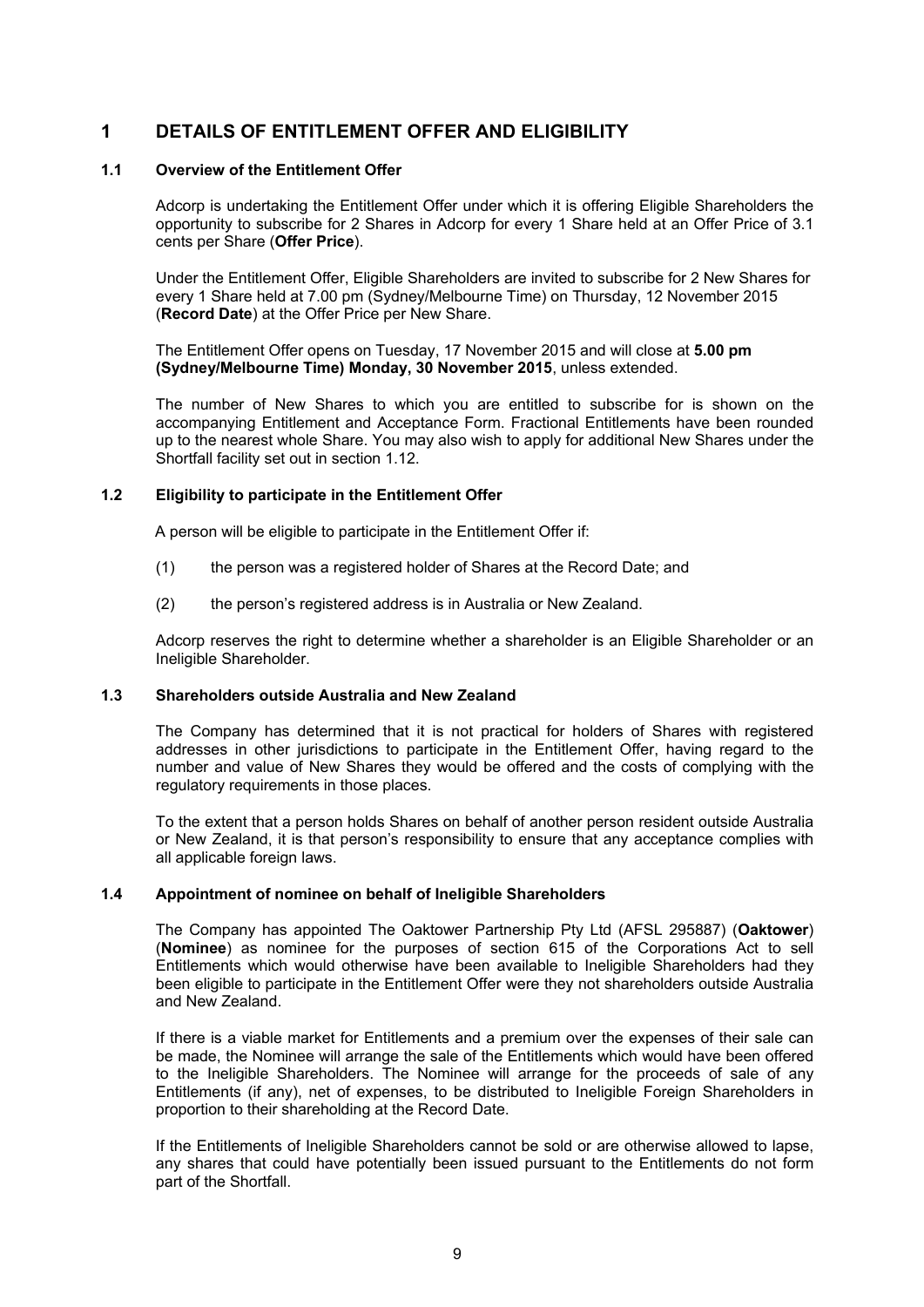### **1 DETAILS OF ENTITLEMENT OFFER AND ELIGIBILITY**

### **1.1 Overview of the Entitlement Offer**

Adcorp is undertaking the Entitlement Offer under which it is offering Eligible Shareholders the opportunity to subscribe for 2 Shares in Adcorp for every 1 Share held at an Offer Price of 3.1 cents per Share (**Offer Price**).

Under the Entitlement Offer, Eligible Shareholders are invited to subscribe for 2 New Shares for every 1 Share held at 7.00 pm (Sydney/Melbourne Time) on Thursday, 12 November 2015 (**Record Date**) at the Offer Price per New Share.

The Entitlement Offer opens on Tuesday, 17 November 2015 and will close at **5.00 pm (Sydney/Melbourne Time) Monday, 30 November 2015**, unless extended.

The number of New Shares to which you are entitled to subscribe for is shown on the accompanying Entitlement and Acceptance Form. Fractional Entitlements have been rounded up to the nearest whole Share. You may also wish to apply for additional New Shares under the Shortfall facility set out in section 1.12.

### **1.2 Eligibility to participate in the Entitlement Offer**

A person will be eligible to participate in the Entitlement Offer if:

- (1) the person was a registered holder of Shares at the Record Date; and
- (2) the person's registered address is in Australia or New Zealand.

Adcorp reserves the right to determine whether a shareholder is an Eligible Shareholder or an Ineligible Shareholder.

### **1.3 Shareholders outside Australia and New Zealand**

The Company has determined that it is not practical for holders of Shares with registered addresses in other jurisdictions to participate in the Entitlement Offer, having regard to the number and value of New Shares they would be offered and the costs of complying with the regulatory requirements in those places.

To the extent that a person holds Shares on behalf of another person resident outside Australia or New Zealand, it is that person's responsibility to ensure that any acceptance complies with all applicable foreign laws.

### **1.4 Appointment of nominee on behalf of Ineligible Shareholders**

The Company has appointed The Oaktower Partnership Pty Ltd (AFSL 295887) (**Oaktower**) (**Nominee**) as nominee for the purposes of section 615 of the Corporations Act to sell Entitlements which would otherwise have been available to Ineligible Shareholders had they been eligible to participate in the Entitlement Offer were they not shareholders outside Australia and New Zealand.

If there is a viable market for Entitlements and a premium over the expenses of their sale can be made, the Nominee will arrange the sale of the Entitlements which would have been offered to the Ineligible Shareholders. The Nominee will arrange for the proceeds of sale of any Entitlements (if any), net of expenses, to be distributed to Ineligible Foreign Shareholders in proportion to their shareholding at the Record Date.

If the Entitlements of Ineligible Shareholders cannot be sold or are otherwise allowed to lapse, any shares that could have potentially been issued pursuant to the Entitlements do not form part of the Shortfall.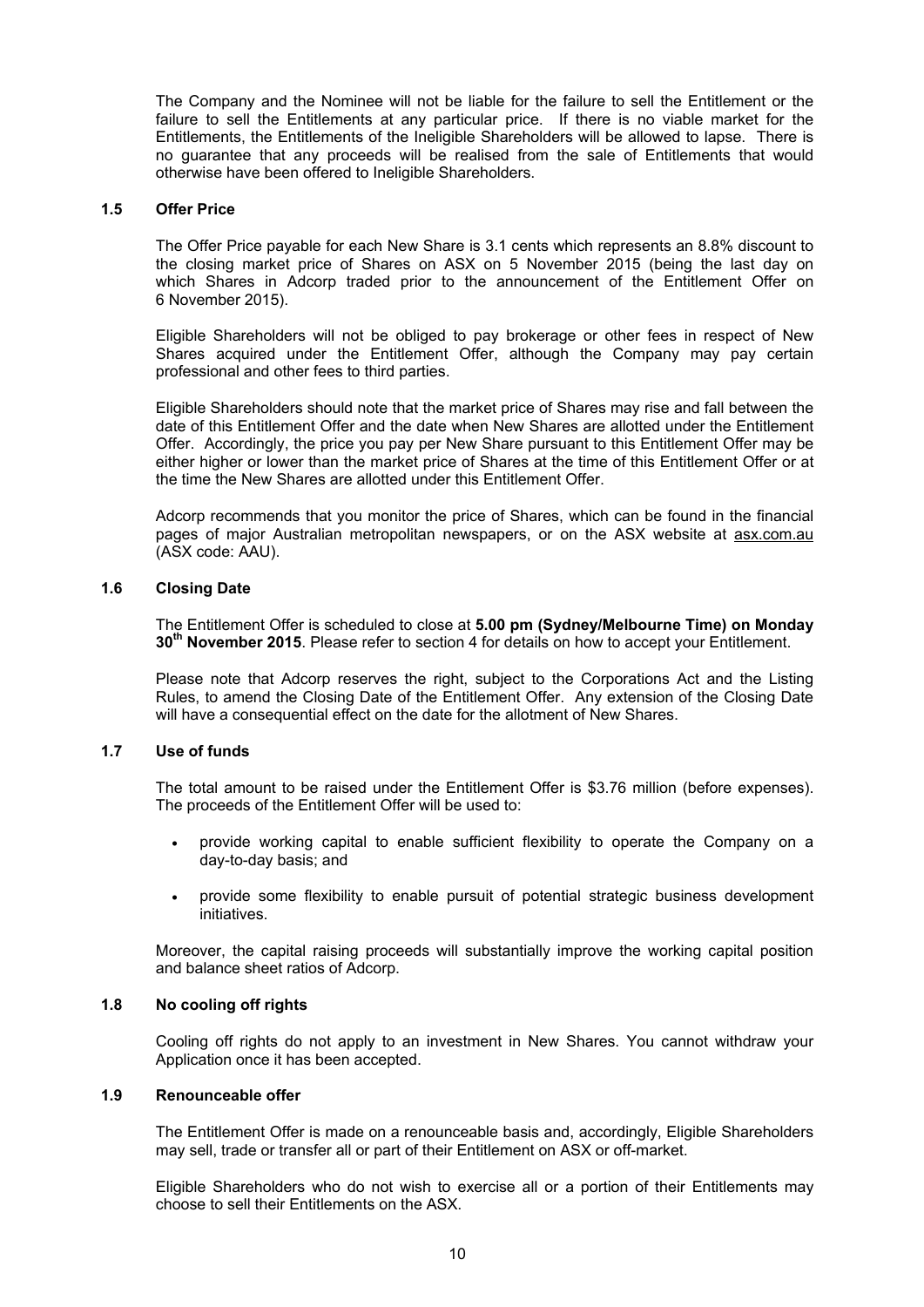The Company and the Nominee will not be liable for the failure to sell the Entitlement or the failure to sell the Entitlements at any particular price. If there is no viable market for the Entitlements, the Entitlements of the Ineligible Shareholders will be allowed to lapse. There is no guarantee that any proceeds will be realised from the sale of Entitlements that would otherwise have been offered to Ineligible Shareholders.

#### **1.5 Offer Price**

The Offer Price payable for each New Share is 3.1 cents which represents an 8.8% discount to the closing market price of Shares on ASX on 5 November 2015 (being the last day on which Shares in Adcorp traded prior to the announcement of the Entitlement Offer on 6 November 2015).

Eligible Shareholders will not be obliged to pay brokerage or other fees in respect of New Shares acquired under the Entitlement Offer, although the Company may pay certain professional and other fees to third parties.

Eligible Shareholders should note that the market price of Shares may rise and fall between the date of this Entitlement Offer and the date when New Shares are allotted under the Entitlement Offer. Accordingly, the price you pay per New Share pursuant to this Entitlement Offer may be either higher or lower than the market price of Shares at the time of this Entitlement Offer or at the time the New Shares are allotted under this Entitlement Offer.

Adcorp recommends that you monitor the price of Shares, which can be found in the financial pages of major Australian metropolitan newspapers, or on the ASX website at asx.com.au (ASX code: AAU).

### **1.6 Closing Date**

The Entitlement Offer is scheduled to close at **5.00 pm (Sydney/Melbourne Time) on Monday 30th November 2015**. Please refer to section 4 for details on how to accept your Entitlement.

Please note that Adcorp reserves the right, subject to the Corporations Act and the Listing Rules, to amend the Closing Date of the Entitlement Offer. Any extension of the Closing Date will have a consequential effect on the date for the allotment of New Shares.

### **1.7 Use of funds**

The total amount to be raised under the Entitlement Offer is \$3.76 million (before expenses). The proceeds of the Entitlement Offer will be used to:

- provide working capital to enable sufficient flexibility to operate the Company on a day-to-day basis; and
- provide some flexibility to enable pursuit of potential strategic business development initiatives.

Moreover, the capital raising proceeds will substantially improve the working capital position and balance sheet ratios of Adcorp.

### **1.8 No cooling off rights**

Cooling off rights do not apply to an investment in New Shares. You cannot withdraw your Application once it has been accepted.

### **1.9 Renounceable offer**

The Entitlement Offer is made on a renounceable basis and, accordingly, Eligible Shareholders may sell, trade or transfer all or part of their Entitlement on ASX or off-market.

Eligible Shareholders who do not wish to exercise all or a portion of their Entitlements may choose to sell their Entitlements on the ASX.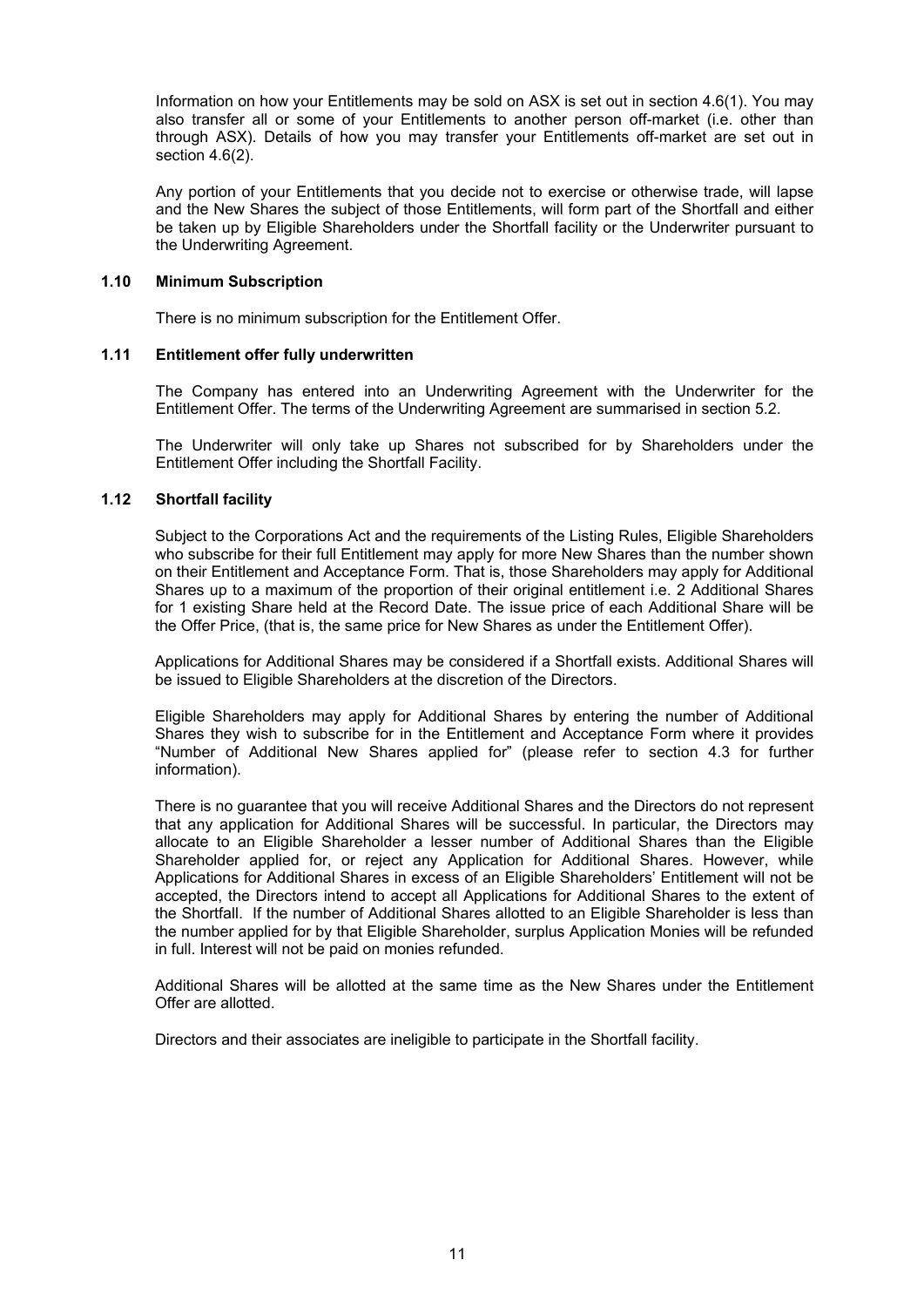Information on how your Entitlements may be sold on ASX is set out in section 4.6(1). You may also transfer all or some of your Entitlements to another person off-market (i.e. other than through ASX). Details of how you may transfer your Entitlements off-market are set out in section 4.6(2).

Any portion of your Entitlements that you decide not to exercise or otherwise trade, will lapse and the New Shares the subject of those Entitlements, will form part of the Shortfall and either be taken up by Eligible Shareholders under the Shortfall facility or the Underwriter pursuant to the Underwriting Agreement.

### **1.10 Minimum Subscription**

There is no minimum subscription for the Entitlement Offer.

### **1.11 Entitlement offer fully underwritten**

The Company has entered into an Underwriting Agreement with the Underwriter for the Entitlement Offer. The terms of the Underwriting Agreement are summarised in section 5.2.

The Underwriter will only take up Shares not subscribed for by Shareholders under the Entitlement Offer including the Shortfall Facility.

### **1.12 Shortfall facility**

Subject to the Corporations Act and the requirements of the Listing Rules, Eligible Shareholders who subscribe for their full Entitlement may apply for more New Shares than the number shown on their Entitlement and Acceptance Form. That is, those Shareholders may apply for Additional Shares up to a maximum of the proportion of their original entitlement i.e. 2 Additional Shares for 1 existing Share held at the Record Date. The issue price of each Additional Share will be the Offer Price, (that is, the same price for New Shares as under the Entitlement Offer).

Applications for Additional Shares may be considered if a Shortfall exists. Additional Shares will be issued to Eligible Shareholders at the discretion of the Directors.

Eligible Shareholders may apply for Additional Shares by entering the number of Additional Shares they wish to subscribe for in the Entitlement and Acceptance Form where it provides "Number of Additional New Shares applied for" (please refer to section 4.3 for further information).

There is no guarantee that you will receive Additional Shares and the Directors do not represent that any application for Additional Shares will be successful. In particular, the Directors may allocate to an Eligible Shareholder a lesser number of Additional Shares than the Eligible Shareholder applied for, or reject any Application for Additional Shares. However, while Applications for Additional Shares in excess of an Eligible Shareholders' Entitlement will not be accepted, the Directors intend to accept all Applications for Additional Shares to the extent of the Shortfall. If the number of Additional Shares allotted to an Eligible Shareholder is less than the number applied for by that Eligible Shareholder, surplus Application Monies will be refunded in full. Interest will not be paid on monies refunded.

Additional Shares will be allotted at the same time as the New Shares under the Entitlement Offer are allotted.

Directors and their associates are ineligible to participate in the Shortfall facility.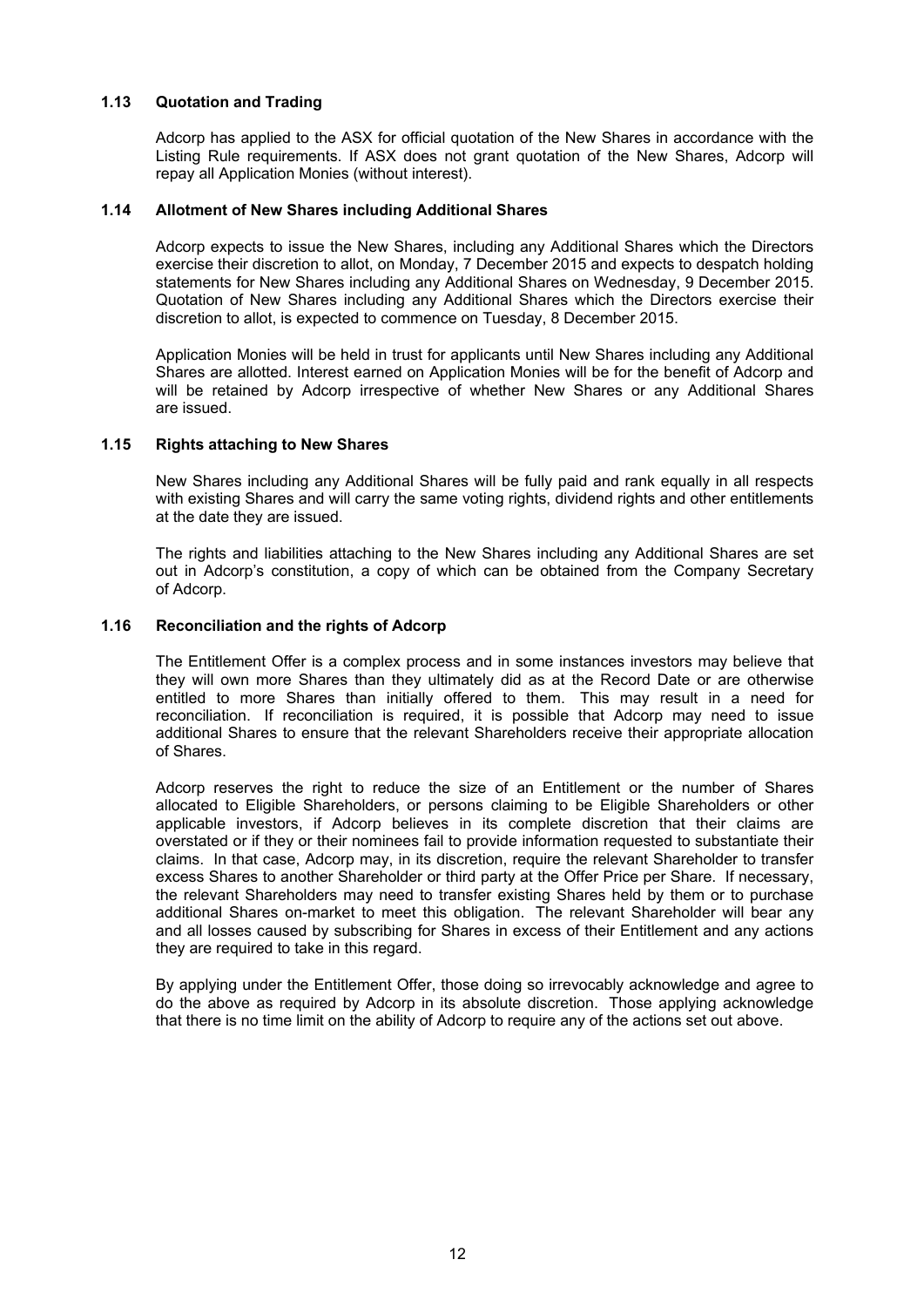### **1.13 Quotation and Trading**

Adcorp has applied to the ASX for official quotation of the New Shares in accordance with the Listing Rule requirements. If ASX does not grant quotation of the New Shares, Adcorp will repay all Application Monies (without interest).

### **1.14 Allotment of New Shares including Additional Shares**

Adcorp expects to issue the New Shares, including any Additional Shares which the Directors exercise their discretion to allot, on Monday, 7 December 2015 and expects to despatch holding statements for New Shares including any Additional Shares on Wednesday, 9 December 2015. Quotation of New Shares including any Additional Shares which the Directors exercise their discretion to allot, is expected to commence on Tuesday, 8 December 2015.

Application Monies will be held in trust for applicants until New Shares including any Additional Shares are allotted. Interest earned on Application Monies will be for the benefit of Adcorp and will be retained by Adcorp irrespective of whether New Shares or any Additional Shares are issued.

### **1.15 Rights attaching to New Shares**

New Shares including any Additional Shares will be fully paid and rank equally in all respects with existing Shares and will carry the same voting rights, dividend rights and other entitlements at the date they are issued.

The rights and liabilities attaching to the New Shares including any Additional Shares are set out in Adcorp's constitution, a copy of which can be obtained from the Company Secretary of Adcorp.

### **1.16 Reconciliation and the rights of Adcorp**

The Entitlement Offer is a complex process and in some instances investors may believe that they will own more Shares than they ultimately did as at the Record Date or are otherwise entitled to more Shares than initially offered to them. This may result in a need for reconciliation. If reconciliation is required, it is possible that Adcorp may need to issue additional Shares to ensure that the relevant Shareholders receive their appropriate allocation of Shares.

Adcorp reserves the right to reduce the size of an Entitlement or the number of Shares allocated to Eligible Shareholders, or persons claiming to be Eligible Shareholders or other applicable investors, if Adcorp believes in its complete discretion that their claims are overstated or if they or their nominees fail to provide information requested to substantiate their claims. In that case, Adcorp may, in its discretion, require the relevant Shareholder to transfer excess Shares to another Shareholder or third party at the Offer Price per Share. If necessary, the relevant Shareholders may need to transfer existing Shares held by them or to purchase additional Shares on-market to meet this obligation. The relevant Shareholder will bear any and all losses caused by subscribing for Shares in excess of their Entitlement and any actions they are required to take in this regard.

By applying under the Entitlement Offer, those doing so irrevocably acknowledge and agree to do the above as required by Adcorp in its absolute discretion. Those applying acknowledge that there is no time limit on the ability of Adcorp to require any of the actions set out above.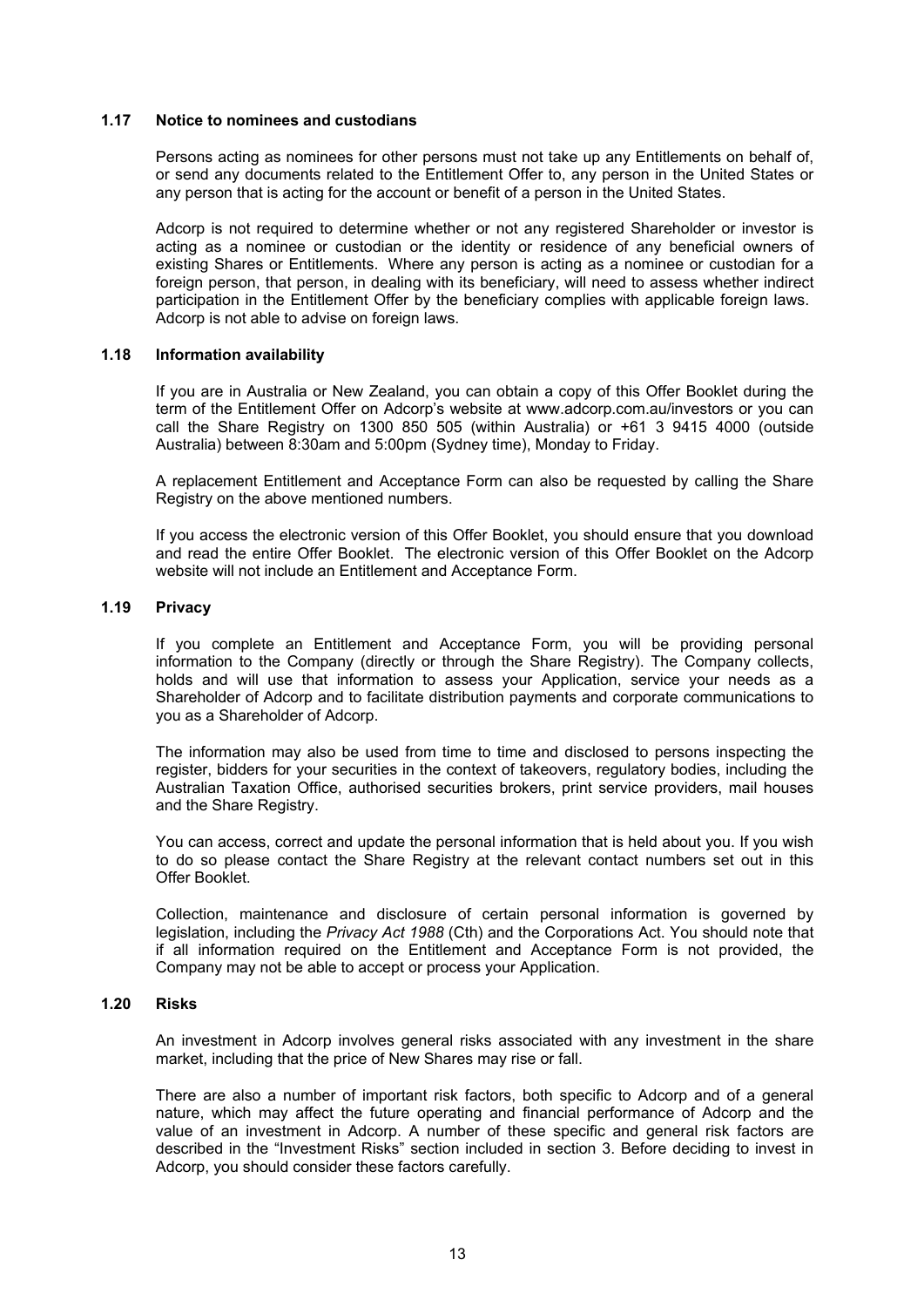### **1.17 Notice to nominees and custodians**

Persons acting as nominees for other persons must not take up any Entitlements on behalf of, or send any documents related to the Entitlement Offer to, any person in the United States or any person that is acting for the account or benefit of a person in the United States.

Adcorp is not required to determine whether or not any registered Shareholder or investor is acting as a nominee or custodian or the identity or residence of any beneficial owners of existing Shares or Entitlements. Where any person is acting as a nominee or custodian for a foreign person, that person, in dealing with its beneficiary, will need to assess whether indirect participation in the Entitlement Offer by the beneficiary complies with applicable foreign laws. Adcorp is not able to advise on foreign laws.

### **1.18 Information availability**

If you are in Australia or New Zealand, you can obtain a copy of this Offer Booklet during the term of the Entitlement Offer on Adcorp's website at www.adcorp.com.au/investors or you can call the Share Registry on 1300 850 505 (within Australia) or  $+61$  3 9415 4000 (outside Australia) between 8:30am and 5:00pm (Sydney time), Monday to Friday.

A replacement Entitlement and Acceptance Form can also be requested by calling the Share Registry on the above mentioned numbers.

If you access the electronic version of this Offer Booklet, you should ensure that you download and read the entire Offer Booklet. The electronic version of this Offer Booklet on the Adcorp website will not include an Entitlement and Acceptance Form.

### **1.19 Privacy**

If you complete an Entitlement and Acceptance Form, you will be providing personal information to the Company (directly or through the Share Registry). The Company collects, holds and will use that information to assess your Application, service your needs as a Shareholder of Adcorp and to facilitate distribution payments and corporate communications to you as a Shareholder of Adcorp.

The information may also be used from time to time and disclosed to persons inspecting the register, bidders for your securities in the context of takeovers, regulatory bodies, including the Australian Taxation Office, authorised securities brokers, print service providers, mail houses and the Share Registry.

You can access, correct and update the personal information that is held about you. If you wish to do so please contact the Share Registry at the relevant contact numbers set out in this Offer Booklet.

Collection, maintenance and disclosure of certain personal information is governed by legislation, including the *Privacy Act 1988* (Cth) and the Corporations Act. You should note that if all information required on the Entitlement and Acceptance Form is not provided, the Company may not be able to accept or process your Application.

### **1.20 Risks**

An investment in Adcorp involves general risks associated with any investment in the share market, including that the price of New Shares may rise or fall.

There are also a number of important risk factors, both specific to Adcorp and of a general nature, which may affect the future operating and financial performance of Adcorp and the value of an investment in Adcorp. A number of these specific and general risk factors are described in the "Investment Risks" section included in section 3. Before deciding to invest in Adcorp, you should consider these factors carefully.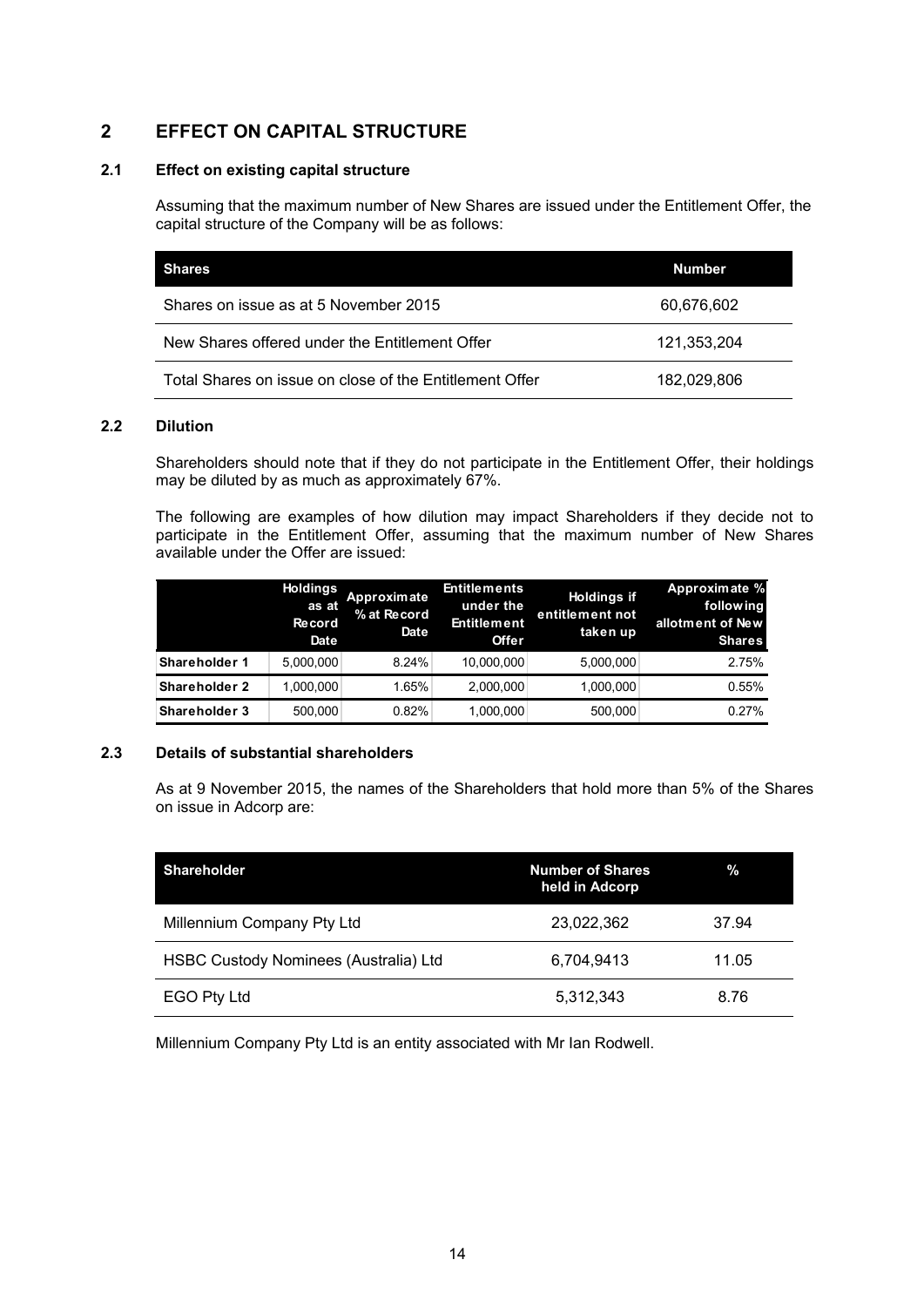### **2 EFFECT ON CAPITAL STRUCTURE**

### **2.1 Effect on existing capital structure**

Assuming that the maximum number of New Shares are issued under the Entitlement Offer, the capital structure of the Company will be as follows:

| <b>Shares</b>                                           | <b>Number</b> |
|---------------------------------------------------------|---------------|
| Shares on issue as at 5 November 2015                   | 60,676,602    |
| New Shares offered under the Entitlement Offer          | 121,353,204   |
| Total Shares on issue on close of the Entitlement Offer | 182,029,806   |

### **2.2 Dilution**

Shareholders should note that if they do not participate in the Entitlement Offer, their holdings may be diluted by as much as approximately 67%.

The following are examples of how dilution may impact Shareholders if they decide not to participate in the Entitlement Offer, assuming that the maximum number of New Shares available under the Offer are issued:

|               | <b>Holdings</b><br>as at<br><b>Record</b><br>Date | Approximate<br>% at Record<br>Date | <b>Entitlements</b><br>under the<br><b>Entitlement</b><br><b>Offer</b> | <b>Holdings if</b><br>entitlement not<br>taken up | Approximate %<br>following<br>allotment of New<br><b>Shares</b> |
|---------------|---------------------------------------------------|------------------------------------|------------------------------------------------------------------------|---------------------------------------------------|-----------------------------------------------------------------|
| Shareholder 1 | 5.000.000                                         | 8.24%                              | 10,000,000                                                             | 5,000,000                                         | 2.75%                                                           |
| Shareholder 2 | 1.000.000                                         | 1.65%                              | 2,000,000                                                              | 1,000,000                                         | 0.55%                                                           |
| Shareholder 3 | 500.000                                           | 0.82%                              | 1,000,000                                                              | 500.000                                           | 0.27%                                                           |

### **2.3 Details of substantial shareholders**

As at 9 November 2015, the names of the Shareholders that hold more than 5% of the Shares on issue in Adcorp are:

| <b>Shareholder</b>                    | <b>Number of Shares</b><br>held in Adcorp | %     |
|---------------------------------------|-------------------------------------------|-------|
| Millennium Company Pty Ltd            | 23,022,362                                | 37.94 |
| HSBC Custody Nominees (Australia) Ltd | 6,704,9413                                | 11.05 |
| EGO Pty Ltd                           | 5,312,343                                 | 8.76  |

Millennium Company Pty Ltd is an entity associated with Mr Ian Rodwell.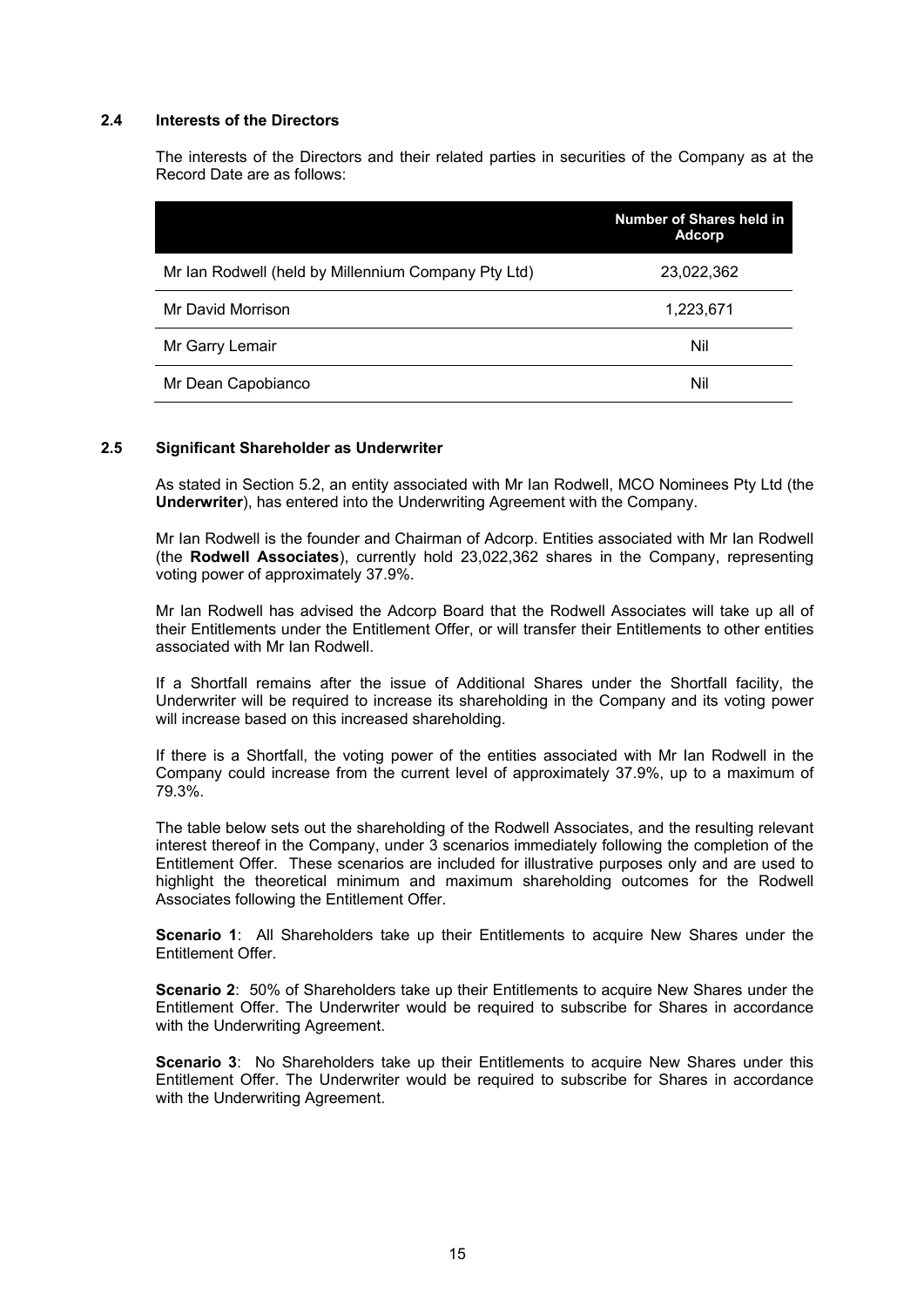### **2.4 Interests of the Directors**

The interests of the Directors and their related parties in securities of the Company as at the Record Date are as follows:

|                                                     | Number of Shares held in<br><b>Adcorp</b> |
|-----------------------------------------------------|-------------------------------------------|
| Mr Ian Rodwell (held by Millennium Company Pty Ltd) | 23,022,362                                |
| Mr David Morrison                                   | 1,223,671                                 |
| Mr Garry Lemair                                     | Nil                                       |
| Mr Dean Capobianco                                  | Nil                                       |

### **2.5 Significant Shareholder as Underwriter**

As stated in Section 5.2, an entity associated with Mr Ian Rodwell, MCO Nominees Pty Ltd (the **Underwriter**), has entered into the Underwriting Agreement with the Company.

Mr Ian Rodwell is the founder and Chairman of Adcorp. Entities associated with Mr Ian Rodwell (the **Rodwell Associates**), currently hold 23,022,362 shares in the Company, representing voting power of approximately 37.9%.

Mr Ian Rodwell has advised the Adcorp Board that the Rodwell Associates will take up all of their Entitlements under the Entitlement Offer, or will transfer their Entitlements to other entities associated with Mr Ian Rodwell.

If a Shortfall remains after the issue of Additional Shares under the Shortfall facility, the Underwriter will be required to increase its shareholding in the Company and its voting power will increase based on this increased shareholding.

If there is a Shortfall, the voting power of the entities associated with Mr Ian Rodwell in the Company could increase from the current level of approximately 37.9%, up to a maximum of 79.3%.

The table below sets out the shareholding of the Rodwell Associates, and the resulting relevant interest thereof in the Company, under 3 scenarios immediately following the completion of the Entitlement Offer. These scenarios are included for illustrative purposes only and are used to highlight the theoretical minimum and maximum shareholding outcomes for the Rodwell Associates following the Entitlement Offer.

**Scenario 1**: All Shareholders take up their Entitlements to acquire New Shares under the Entitlement Offer.

**Scenario 2**: 50% of Shareholders take up their Entitlements to acquire New Shares under the Entitlement Offer. The Underwriter would be required to subscribe for Shares in accordance with the Underwriting Agreement.

**Scenario 3**: No Shareholders take up their Entitlements to acquire New Shares under this Entitlement Offer. The Underwriter would be required to subscribe for Shares in accordance with the Underwriting Agreement.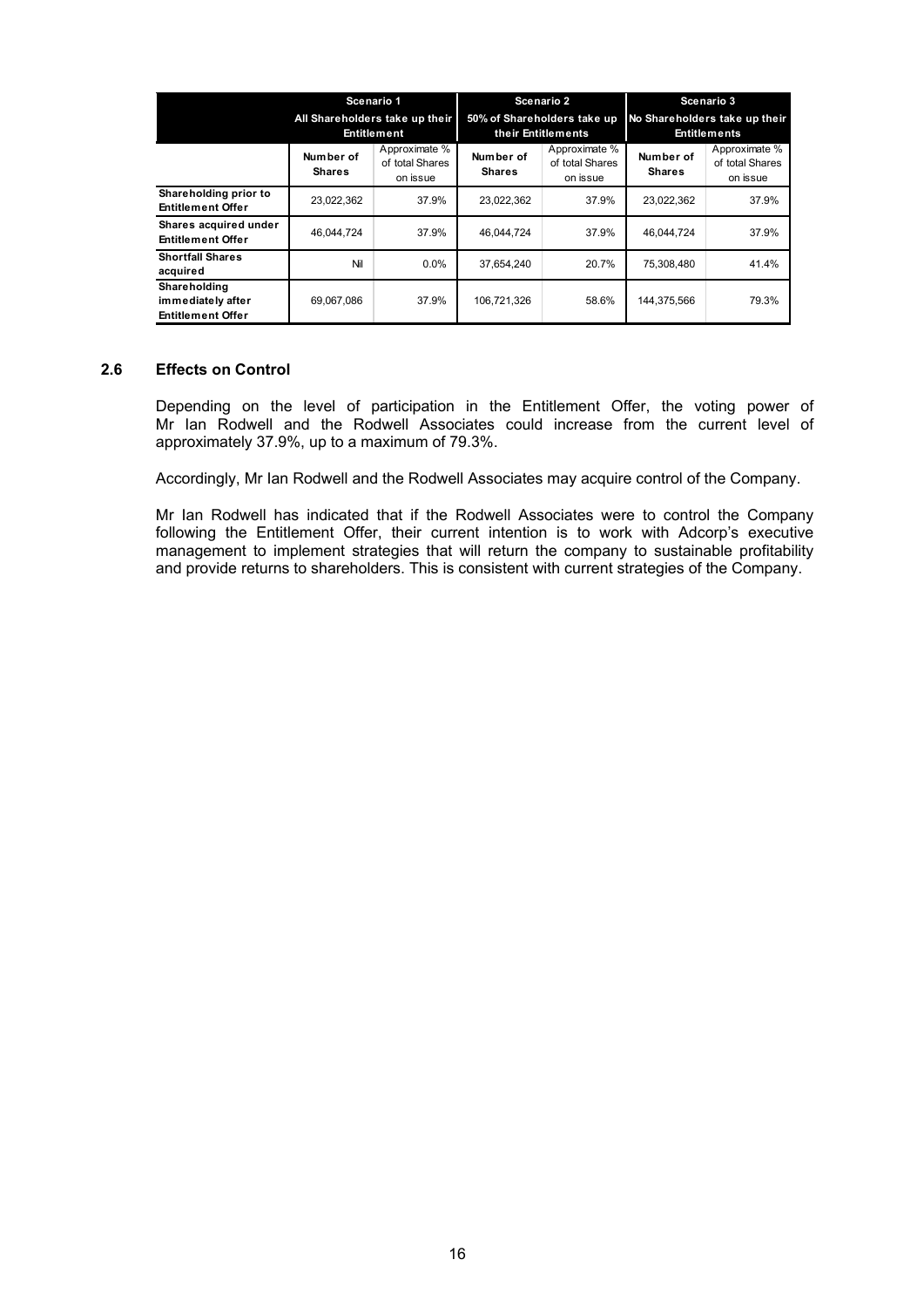|                                                               | Scenario 1<br>All Shareholders take up their<br>Entitlement |                                              | Scenario 2<br>50% of Shareholders take up<br>their Entitlements |                                              | Scenario 3<br>No Shareholders take up their<br><b>Entitlements</b> |                                              |
|---------------------------------------------------------------|-------------------------------------------------------------|----------------------------------------------|-----------------------------------------------------------------|----------------------------------------------|--------------------------------------------------------------------|----------------------------------------------|
|                                                               | Number of<br><b>Shares</b>                                  | Approximate %<br>of total Shares<br>on issue | Number of<br><b>Shares</b>                                      | Approximate %<br>of total Shares<br>on issue | Number of<br><b>Shares</b>                                         | Approximate %<br>of total Shares<br>on issue |
| Shareholding prior to<br><b>Entitlement Offer</b>             | 23,022,362                                                  | 37.9%                                        | 23,022,362                                                      | 37.9%                                        | 23,022,362                                                         | 37.9%                                        |
| Shares acquired under<br><b>Entitlement Offer</b>             | 46.044.724                                                  | 37.9%                                        | 46.044.724                                                      | 37.9%                                        | 46.044.724                                                         | 37.9%                                        |
| <b>Shortfall Shares</b><br>acquired                           | Nil                                                         | $0.0\%$                                      | 37.654.240                                                      | 20.7%                                        | 75.308.480                                                         | 41.4%                                        |
| Shareholding<br>immediately after<br><b>Entitlement Offer</b> | 69,067,086                                                  | 37.9%                                        | 106,721,326                                                     | 58.6%                                        | 144,375,566                                                        | 79.3%                                        |

### **2.6 Effects on Control**

Depending on the level of participation in the Entitlement Offer, the voting power of Mr Ian Rodwell and the Rodwell Associates could increase from the current level of approximately 37.9%, up to a maximum of 79.3%.

Accordingly, Mr Ian Rodwell and the Rodwell Associates may acquire control of the Company.

Mr Ian Rodwell has indicated that if the Rodwell Associates were to control the Company following the Entitlement Offer, their current intention is to work with Adcorp's executive management to implement strategies that will return the company to sustainable profitability and provide returns to shareholders. This is consistent with current strategies of the Company.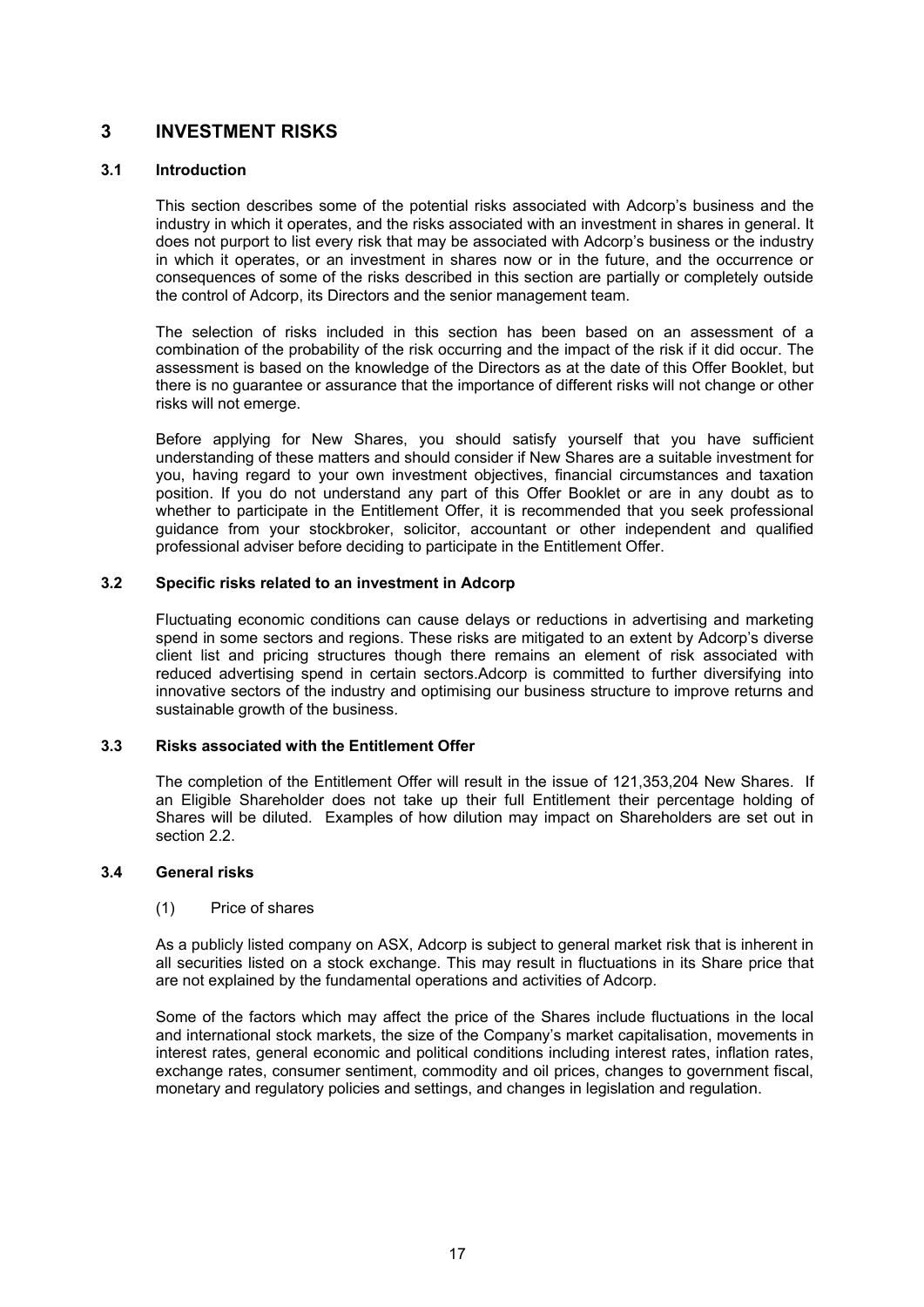### **3 INVESTMENT RISKS**

### **3.1 Introduction**

This section describes some of the potential risks associated with Adcorp's business and the industry in which it operates, and the risks associated with an investment in shares in general. It does not purport to list every risk that may be associated with Adcorp's business or the industry in which it operates, or an investment in shares now or in the future, and the occurrence or consequences of some of the risks described in this section are partially or completely outside the control of Adcorp, its Directors and the senior management team.

The selection of risks included in this section has been based on an assessment of a combination of the probability of the risk occurring and the impact of the risk if it did occur. The assessment is based on the knowledge of the Directors as at the date of this Offer Booklet, but there is no guarantee or assurance that the importance of different risks will not change or other risks will not emerge.

Before applying for New Shares, you should satisfy yourself that you have sufficient understanding of these matters and should consider if New Shares are a suitable investment for you, having regard to your own investment objectives, financial circumstances and taxation position. If you do not understand any part of this Offer Booklet or are in any doubt as to whether to participate in the Entitlement Offer, it is recommended that you seek professional guidance from your stockbroker, solicitor, accountant or other independent and qualified professional adviser before deciding to participate in the Entitlement Offer.

### **3.2 Specific risks related to an investment in Adcorp**

Fluctuating economic conditions can cause delays or reductions in advertising and marketing spend in some sectors and regions. These risks are mitigated to an extent by Adcorp's diverse client list and pricing structures though there remains an element of risk associated with reduced advertising spend in certain sectors.Adcorp is committed to further diversifying into innovative sectors of the industry and optimising our business structure to improve returns and sustainable growth of the business.

### **3.3 Risks associated with the Entitlement Offer**

The completion of the Entitlement Offer will result in the issue of 121,353,204 New Shares. If an Eligible Shareholder does not take up their full Entitlement their percentage holding of Shares will be diluted. Examples of how dilution may impact on Shareholders are set out in section 2.2.

### **3.4 General risks**

### (1) Price of shares

As a publicly listed company on ASX, Adcorp is subject to general market risk that is inherent in all securities listed on a stock exchange. This may result in fluctuations in its Share price that are not explained by the fundamental operations and activities of Adcorp.

Some of the factors which may affect the price of the Shares include fluctuations in the local and international stock markets, the size of the Company's market capitalisation, movements in interest rates, general economic and political conditions including interest rates, inflation rates, exchange rates, consumer sentiment, commodity and oil prices, changes to government fiscal, monetary and regulatory policies and settings, and changes in legislation and regulation.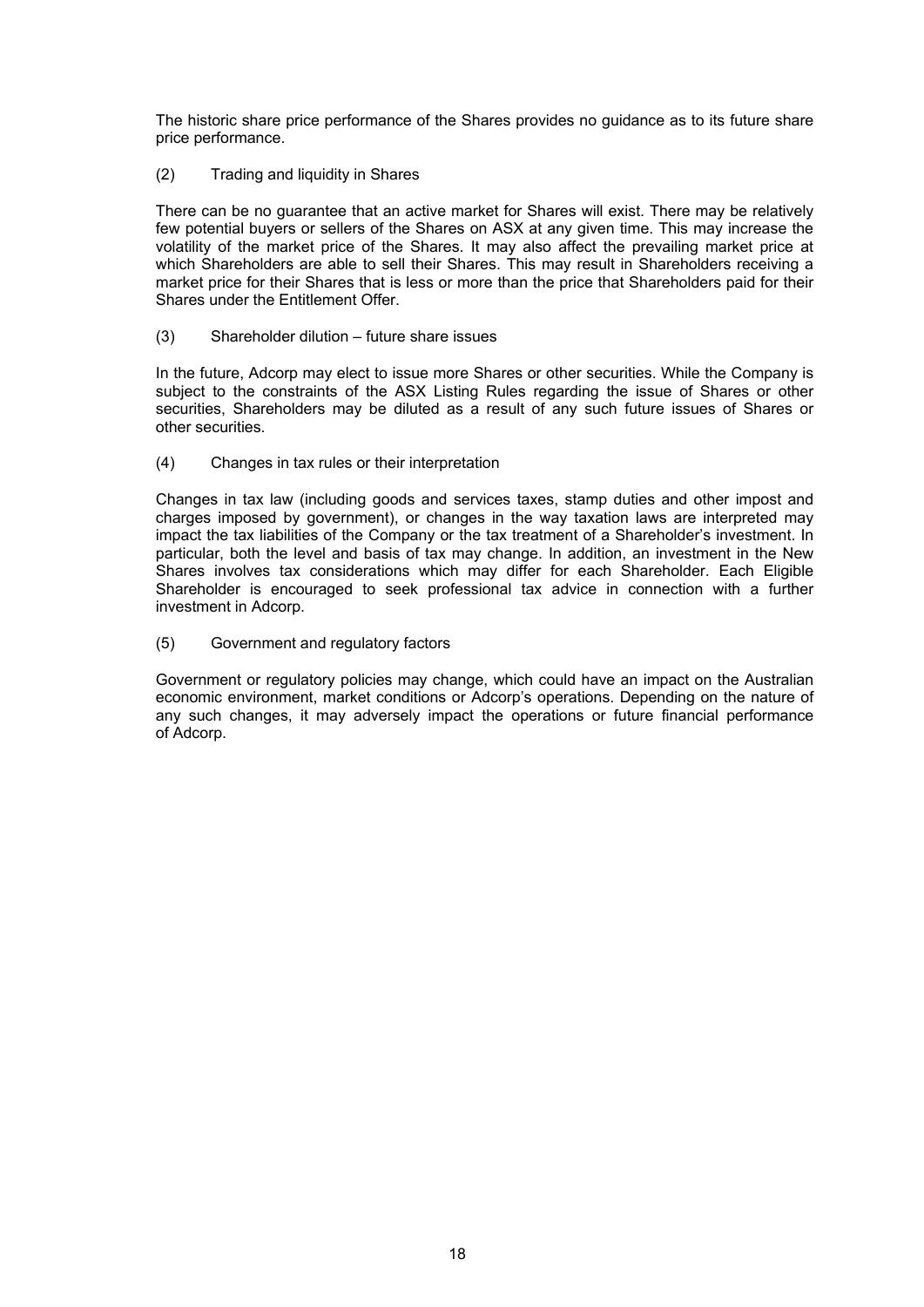The historic share price performance of the Shares provides no guidance as to its future share price performance.

(2) Trading and liquidity in Shares

There can be no guarantee that an active market for Shares will exist. There may be relatively few potential buyers or sellers of the Shares on ASX at any given time. This may increase the volatility of the market price of the Shares. It may also affect the prevailing market price at which Shareholders are able to sell their Shares. This may result in Shareholders receiving a market price for their Shares that is less or more than the price that Shareholders paid for their Shares under the Entitlement Offer.

(3) Shareholder dilution – future share issues

In the future, Adcorp may elect to issue more Shares or other securities. While the Company is subject to the constraints of the ASX Listing Rules regarding the issue of Shares or other securities, Shareholders may be diluted as a result of any such future issues of Shares or other securities.

(4) Changes in tax rules or their interpretation

Changes in tax law (including goods and services taxes, stamp duties and other impost and charges imposed by government), or changes in the way taxation laws are interpreted may impact the tax liabilities of the Company or the tax treatment of a Shareholder's investment. In particular, both the level and basis of tax may change. In addition, an investment in the New Shares involves tax considerations which may differ for each Shareholder. Each Eligible Shareholder is encouraged to seek professional tax advice in connection with a further investment in Adcorp.

(5) Government and regulatory factors

Government or regulatory policies may change, which could have an impact on the Australian economic environment, market conditions or Adcorp's operations. Depending on the nature of any such changes, it may adversely impact the operations or future financial performance of Adcorp.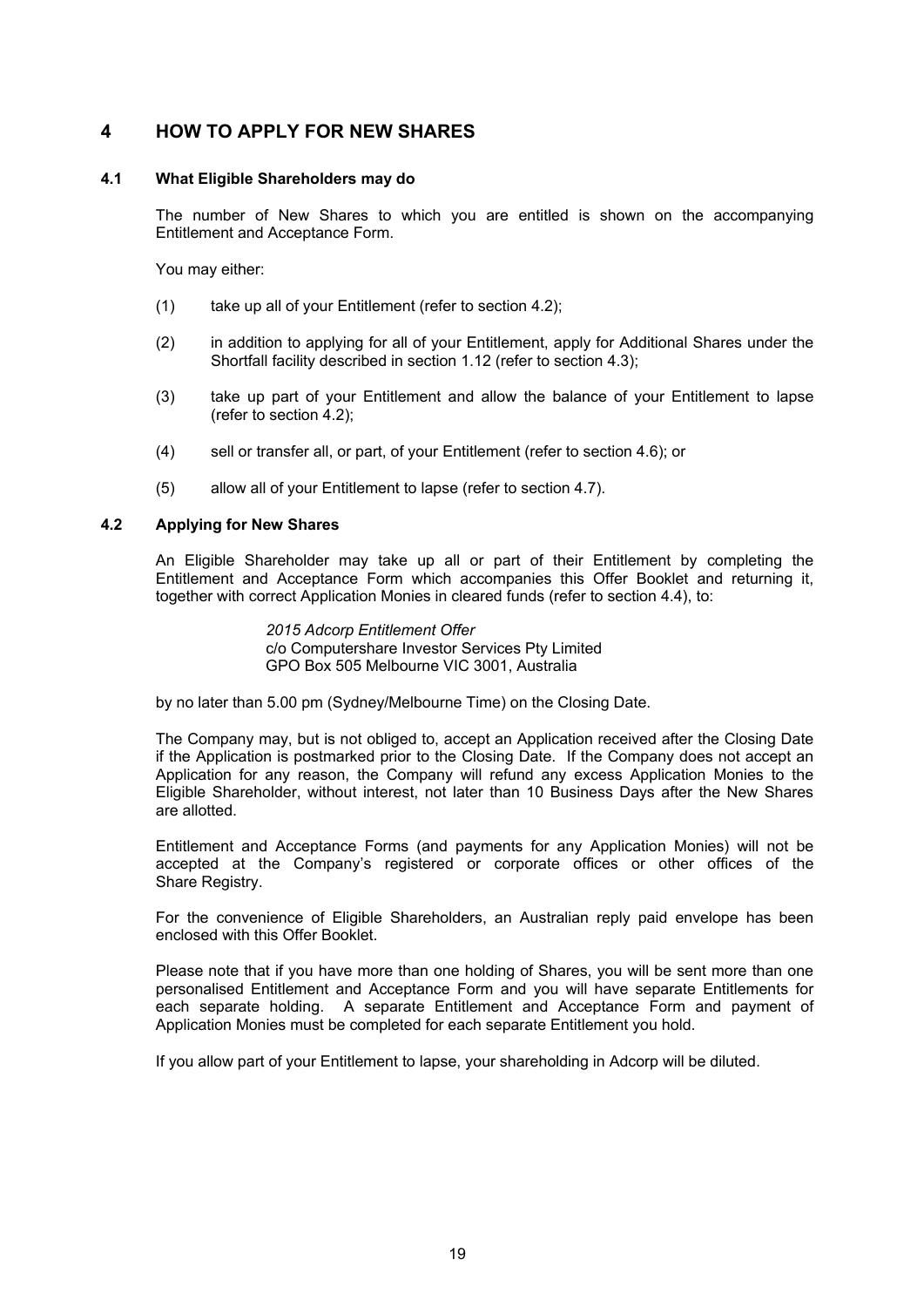### **4 HOW TO APPLY FOR NEW SHARES**

### **4.1 What Eligible Shareholders may do**

The number of New Shares to which you are entitled is shown on the accompanying Entitlement and Acceptance Form.

You may either:

- (1) take up all of your Entitlement (refer to section 4.2);
- (2) in addition to applying for all of your Entitlement, apply for Additional Shares under the Shortfall facility described in section 1.12 (refer to section 4.3);
- (3) take up part of your Entitlement and allow the balance of your Entitlement to lapse (refer to section 4.2);
- (4) sell or transfer all, or part, of your Entitlement (refer to section 4.6); or
- (5) allow all of your Entitlement to lapse (refer to section 4.7).

### **4.2 Applying for New Shares**

An Eligible Shareholder may take up all or part of their Entitlement by completing the Entitlement and Acceptance Form which accompanies this Offer Booklet and returning it, together with correct Application Monies in cleared funds (refer to section 4.4), to:

> *2015 Adcorp Entitlement Offer*  c/o Computershare Investor Services Pty Limited GPO Box 505 Melbourne VIC 3001, Australia

by no later than 5.00 pm (Sydney/Melbourne Time) on the Closing Date.

The Company may, but is not obliged to, accept an Application received after the Closing Date if the Application is postmarked prior to the Closing Date. If the Company does not accept an Application for any reason, the Company will refund any excess Application Monies to the Eligible Shareholder, without interest, not later than 10 Business Days after the New Shares are allotted.

Entitlement and Acceptance Forms (and payments for any Application Monies) will not be accepted at the Company's registered or corporate offices or other offices of the Share Registry.

For the convenience of Eligible Shareholders, an Australian reply paid envelope has been enclosed with this Offer Booklet.

Please note that if you have more than one holding of Shares, you will be sent more than one personalised Entitlement and Acceptance Form and you will have separate Entitlements for each separate holding. A separate Entitlement and Acceptance Form and payment of Application Monies must be completed for each separate Entitlement you hold.

If you allow part of your Entitlement to lapse, your shareholding in Adcorp will be diluted.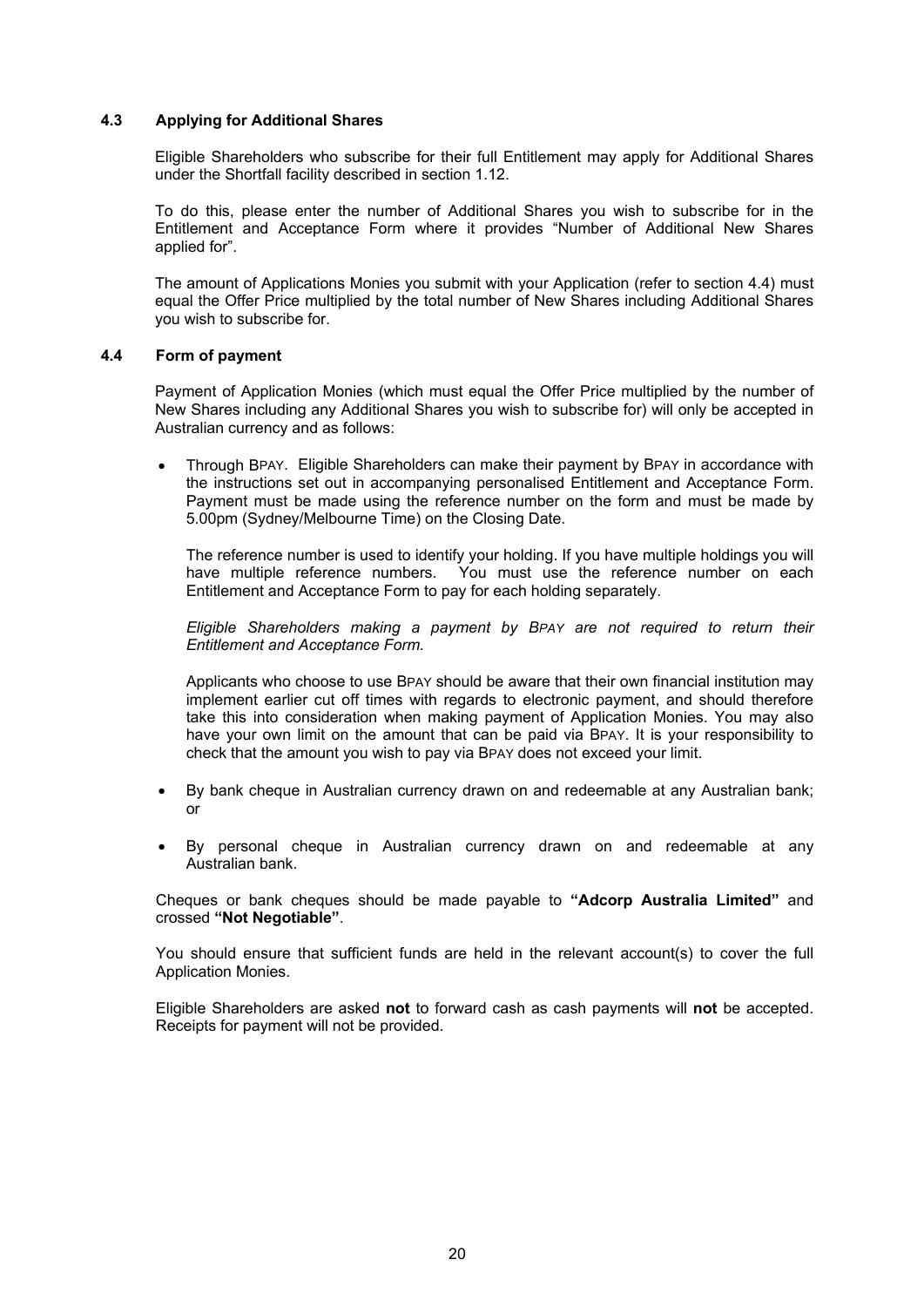### **4.3 Applying for Additional Shares**

Eligible Shareholders who subscribe for their full Entitlement may apply for Additional Shares under the Shortfall facility described in section 1.12.

To do this, please enter the number of Additional Shares you wish to subscribe for in the Entitlement and Acceptance Form where it provides "Number of Additional New Shares applied for".

The amount of Applications Monies you submit with your Application (refer to section 4.4) must equal the Offer Price multiplied by the total number of New Shares including Additional Shares you wish to subscribe for.

### **4.4 Form of payment**

Payment of Application Monies (which must equal the Offer Price multiplied by the number of New Shares including any Additional Shares you wish to subscribe for) will only be accepted in Australian currency and as follows:

 Through BPAY. Eligible Shareholders can make their payment by BPAY in accordance with the instructions set out in accompanying personalised Entitlement and Acceptance Form. Payment must be made using the reference number on the form and must be made by 5.00pm (Sydney/Melbourne Time) on the Closing Date.

The reference number is used to identify your holding. If you have multiple holdings you will have multiple reference numbers. You must use the reference number on each Entitlement and Acceptance Form to pay for each holding separately.

*Eligible Shareholders making a payment by BPAY are not required to return their Entitlement and Acceptance Form.*

Applicants who choose to use BPAY should be aware that their own financial institution may implement earlier cut off times with regards to electronic payment, and should therefore take this into consideration when making payment of Application Monies. You may also have your own limit on the amount that can be paid via BPAY. It is your responsibility to check that the amount you wish to pay via BPAY does not exceed your limit.

- By bank cheque in Australian currency drawn on and redeemable at any Australian bank; or
- By personal cheque in Australian currency drawn on and redeemable at any Australian bank.

Cheques or bank cheques should be made payable to **"Adcorp Australia Limited"** and crossed **"Not Negotiable"**.

You should ensure that sufficient funds are held in the relevant account(s) to cover the full Application Monies.

Eligible Shareholders are asked **not** to forward cash as cash payments will **not** be accepted. Receipts for payment will not be provided.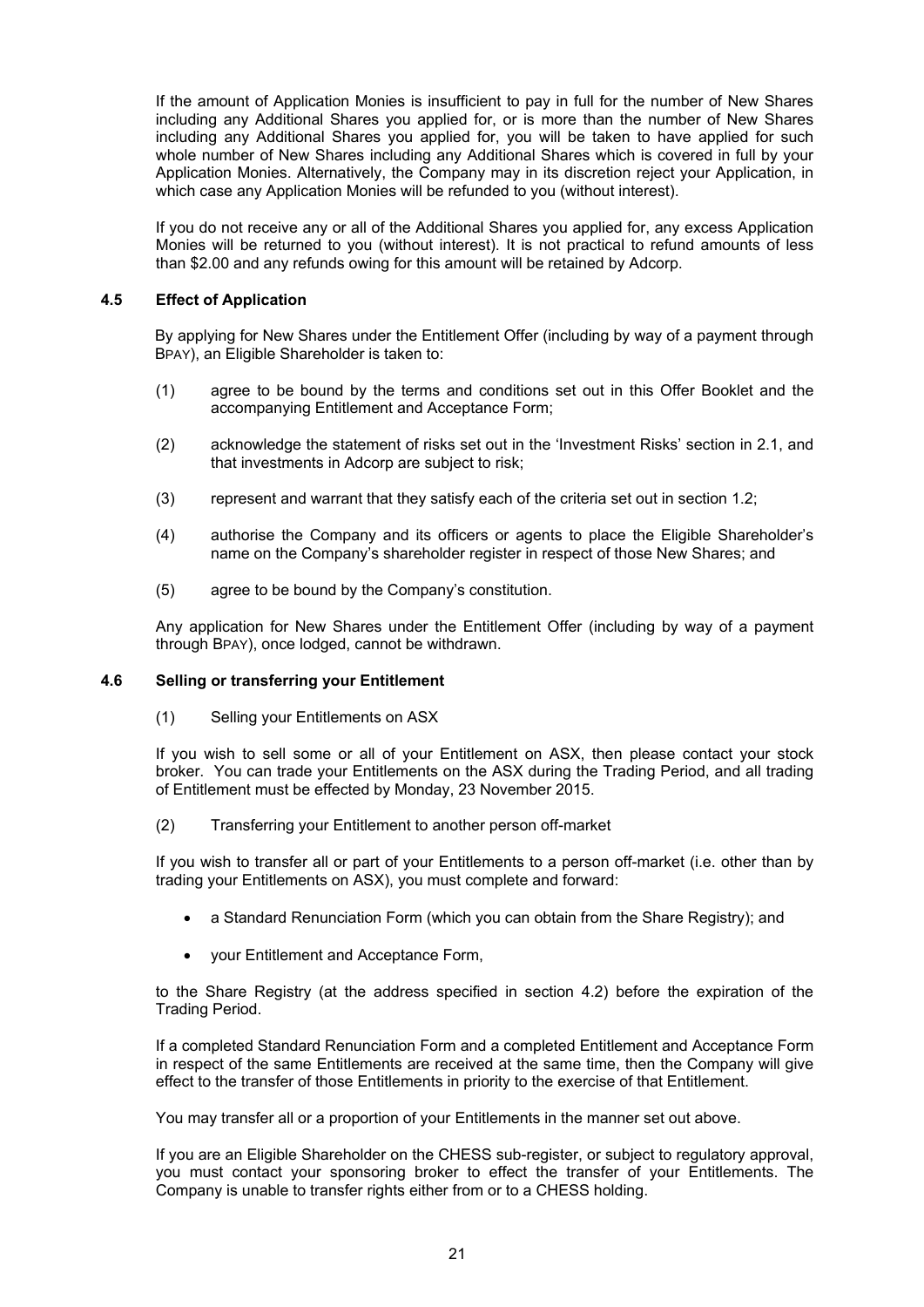If the amount of Application Monies is insufficient to pay in full for the number of New Shares including any Additional Shares you applied for, or is more than the number of New Shares including any Additional Shares you applied for, you will be taken to have applied for such whole number of New Shares including any Additional Shares which is covered in full by your Application Monies. Alternatively, the Company may in its discretion reject your Application, in which case any Application Monies will be refunded to you (without interest).

If you do not receive any or all of the Additional Shares you applied for, any excess Application Monies will be returned to you (without interest). It is not practical to refund amounts of less than \$2.00 and any refunds owing for this amount will be retained by Adcorp.

### **4.5 Effect of Application**

By applying for New Shares under the Entitlement Offer (including by way of a payment through BPAY), an Eligible Shareholder is taken to:

- (1) agree to be bound by the terms and conditions set out in this Offer Booklet and the accompanying Entitlement and Acceptance Form;
- (2) acknowledge the statement of risks set out in the 'Investment Risks' section in 2.1, and that investments in Adcorp are subject to risk;
- (3) represent and warrant that they satisfy each of the criteria set out in section 1.2;
- (4) authorise the Company and its officers or agents to place the Eligible Shareholder's name on the Company's shareholder register in respect of those New Shares; and
- (5) agree to be bound by the Company's constitution.

Any application for New Shares under the Entitlement Offer (including by way of a payment through BPAY), once lodged, cannot be withdrawn.

### **4.6 Selling or transferring your Entitlement**

(1) Selling your Entitlements on ASX

If you wish to sell some or all of your Entitlement on ASX, then please contact your stock broker. You can trade your Entitlements on the ASX during the Trading Period, and all trading of Entitlement must be effected by Monday, 23 November 2015.

(2) Transferring your Entitlement to another person off-market

If you wish to transfer all or part of your Entitlements to a person off-market (i.e. other than by trading your Entitlements on ASX), you must complete and forward:

- a Standard Renunciation Form (which you can obtain from the Share Registry); and
- your Entitlement and Acceptance Form,

to the Share Registry (at the address specified in section 4.2) before the expiration of the Trading Period.

If a completed Standard Renunciation Form and a completed Entitlement and Acceptance Form in respect of the same Entitlements are received at the same time, then the Company will give effect to the transfer of those Entitlements in priority to the exercise of that Entitlement.

You may transfer all or a proportion of your Entitlements in the manner set out above.

If you are an Eligible Shareholder on the CHESS sub-register, or subject to regulatory approval, you must contact your sponsoring broker to effect the transfer of your Entitlements. The Company is unable to transfer rights either from or to a CHESS holding.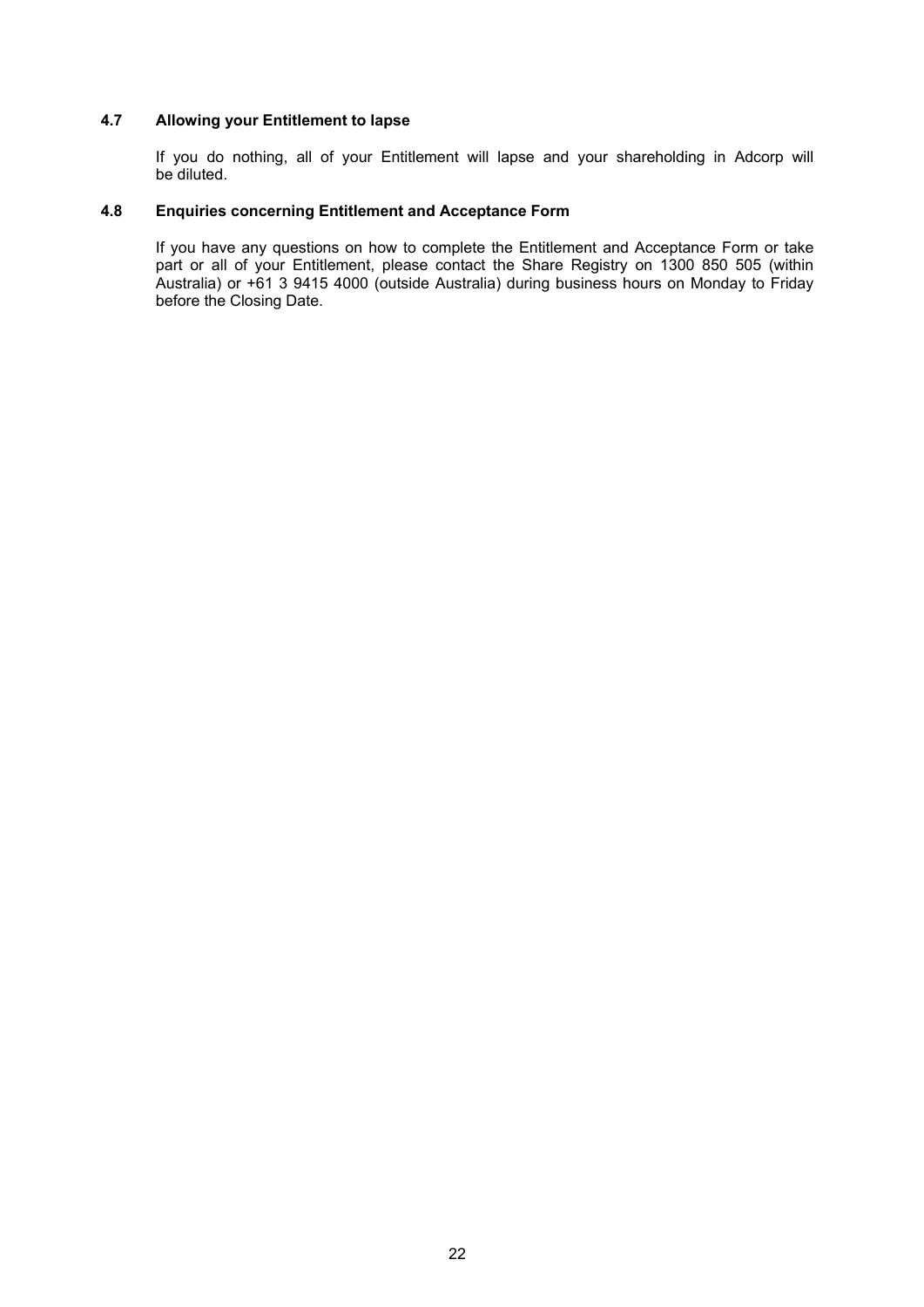### **4.7 Allowing your Entitlement to lapse**

If you do nothing, all of your Entitlement will lapse and your shareholding in Adcorp will be diluted.

### **4.8 Enquiries concerning Entitlement and Acceptance Form**

If you have any questions on how to complete the Entitlement and Acceptance Form or take part or all of your Entitlement, please contact the Share Registry on 1300 850 505 (within Australia) or +61 3 9415 4000 (outside Australia) during business hours on Monday to Friday before the Closing Date.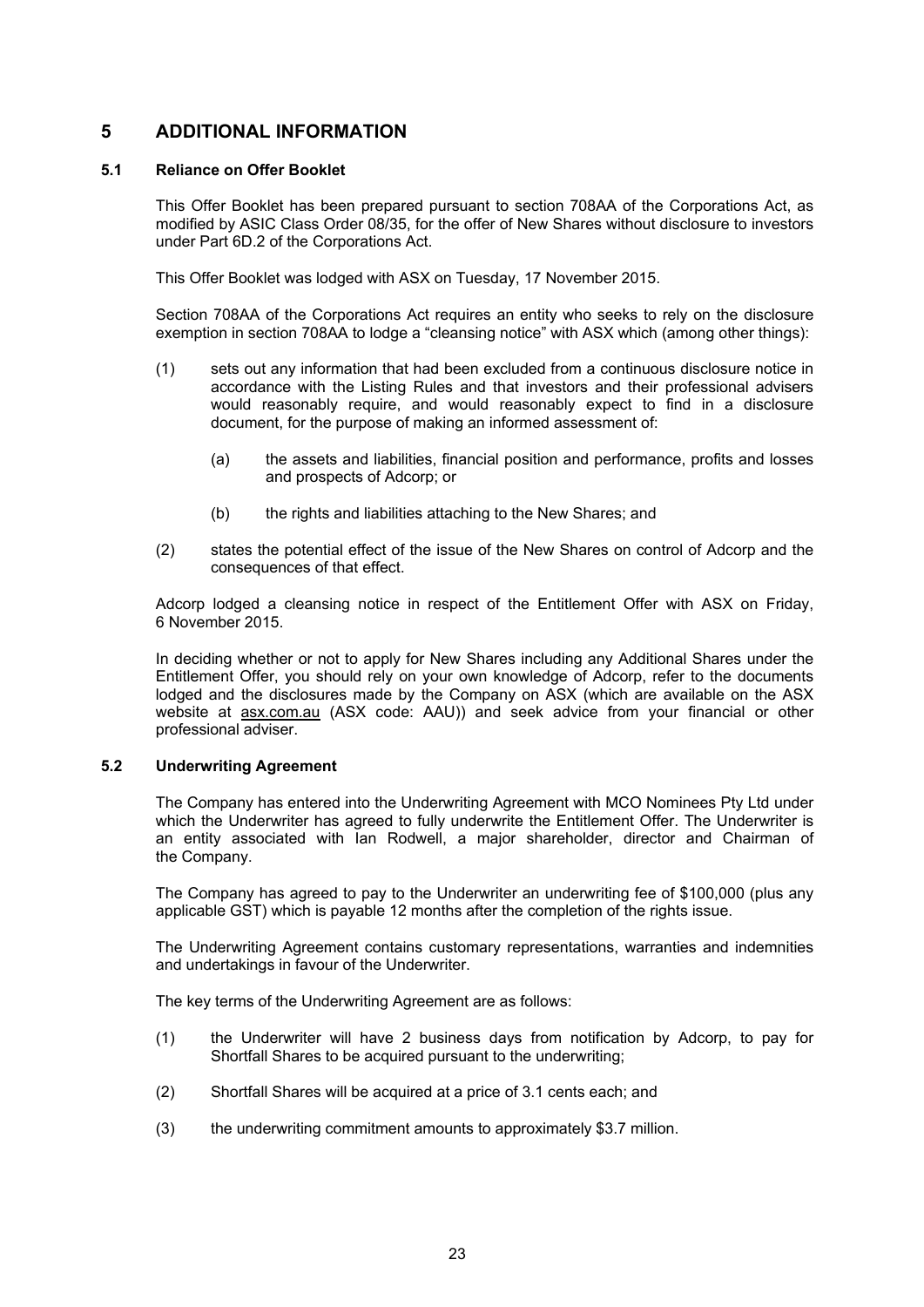### **5 ADDITIONAL INFORMATION**

### **5.1 Reliance on Offer Booklet**

This Offer Booklet has been prepared pursuant to section 708AA of the Corporations Act, as modified by ASIC Class Order 08/35, for the offer of New Shares without disclosure to investors under Part 6D.2 of the Corporations Act.

This Offer Booklet was lodged with ASX on Tuesday, 17 November 2015.

Section 708AA of the Corporations Act requires an entity who seeks to rely on the disclosure exemption in section 708AA to lodge a "cleansing notice" with ASX which (among other things):

- (1) sets out any information that had been excluded from a continuous disclosure notice in accordance with the Listing Rules and that investors and their professional advisers would reasonably require, and would reasonably expect to find in a disclosure document, for the purpose of making an informed assessment of:
	- (a) the assets and liabilities, financial position and performance, profits and losses and prospects of Adcorp; or
	- (b) the rights and liabilities attaching to the New Shares; and
- (2) states the potential effect of the issue of the New Shares on control of Adcorp and the consequences of that effect.

Adcorp lodged a cleansing notice in respect of the Entitlement Offer with ASX on Friday, 6 November 2015.

In deciding whether or not to apply for New Shares including any Additional Shares under the Entitlement Offer, you should rely on your own knowledge of Adcorp, refer to the documents lodged and the disclosures made by the Company on ASX (which are available on the ASX website at asx.com.au (ASX code: AAU)) and seek advice from your financial or other professional adviser.

### **5.2 Underwriting Agreement**

The Company has entered into the Underwriting Agreement with MCO Nominees Pty Ltd under which the Underwriter has agreed to fully underwrite the Entitlement Offer. The Underwriter is an entity associated with Ian Rodwell, a major shareholder, director and Chairman of the Company.

The Company has agreed to pay to the Underwriter an underwriting fee of \$100,000 (plus any applicable GST) which is payable 12 months after the completion of the rights issue.

The Underwriting Agreement contains customary representations, warranties and indemnities and undertakings in favour of the Underwriter.

The key terms of the Underwriting Agreement are as follows:

- (1) the Underwriter will have 2 business days from notification by Adcorp, to pay for Shortfall Shares to be acquired pursuant to the underwriting;
- (2) Shortfall Shares will be acquired at a price of 3.1 cents each; and
- (3) the underwriting commitment amounts to approximately \$3.7 million.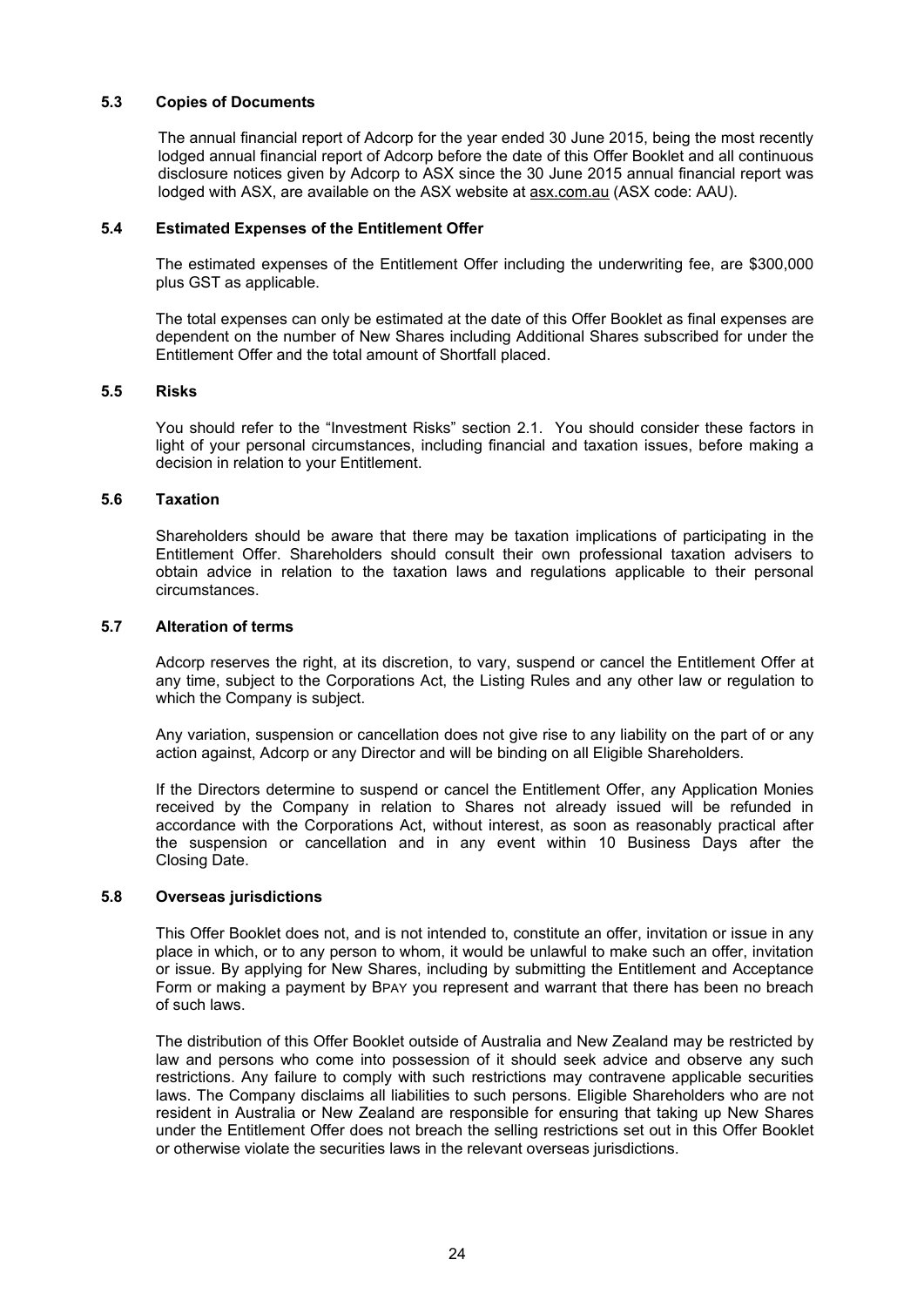### **5.3 Copies of Documents**

The annual financial report of Adcorp for the year ended 30 June 2015, being the most recently lodged annual financial report of Adcorp before the date of this Offer Booklet and all continuous disclosure notices given by Adcorp to ASX since the 30 June 2015 annual financial report was lodged with ASX, are available on the ASX website at asx.com.au (ASX code: AAU).

### **5.4 Estimated Expenses of the Entitlement Offer**

The estimated expenses of the Entitlement Offer including the underwriting fee, are \$300,000 plus GST as applicable.

The total expenses can only be estimated at the date of this Offer Booklet as final expenses are dependent on the number of New Shares including Additional Shares subscribed for under the Entitlement Offer and the total amount of Shortfall placed.

### **5.5 Risks**

You should refer to the "Investment Risks" section 2.1. You should consider these factors in light of your personal circumstances, including financial and taxation issues, before making a decision in relation to your Entitlement.

### **5.6 Taxation**

Shareholders should be aware that there may be taxation implications of participating in the Entitlement Offer. Shareholders should consult their own professional taxation advisers to obtain advice in relation to the taxation laws and regulations applicable to their personal circumstances.

### **5.7 Alteration of terms**

Adcorp reserves the right, at its discretion, to vary, suspend or cancel the Entitlement Offer at any time, subject to the Corporations Act, the Listing Rules and any other law or regulation to which the Company is subject.

Any variation, suspension or cancellation does not give rise to any liability on the part of or any action against, Adcorp or any Director and will be binding on all Eligible Shareholders.

If the Directors determine to suspend or cancel the Entitlement Offer, any Application Monies received by the Company in relation to Shares not already issued will be refunded in accordance with the Corporations Act, without interest, as soon as reasonably practical after the suspension or cancellation and in any event within 10 Business Days after the Closing Date.

### **5.8 Overseas jurisdictions**

This Offer Booklet does not, and is not intended to, constitute an offer, invitation or issue in any place in which, or to any person to whom, it would be unlawful to make such an offer, invitation or issue. By applying for New Shares, including by submitting the Entitlement and Acceptance Form or making a payment by BPAY you represent and warrant that there has been no breach of such laws.

The distribution of this Offer Booklet outside of Australia and New Zealand may be restricted by law and persons who come into possession of it should seek advice and observe any such restrictions. Any failure to comply with such restrictions may contravene applicable securities laws. The Company disclaims all liabilities to such persons. Eligible Shareholders who are not resident in Australia or New Zealand are responsible for ensuring that taking up New Shares under the Entitlement Offer does not breach the selling restrictions set out in this Offer Booklet or otherwise violate the securities laws in the relevant overseas jurisdictions.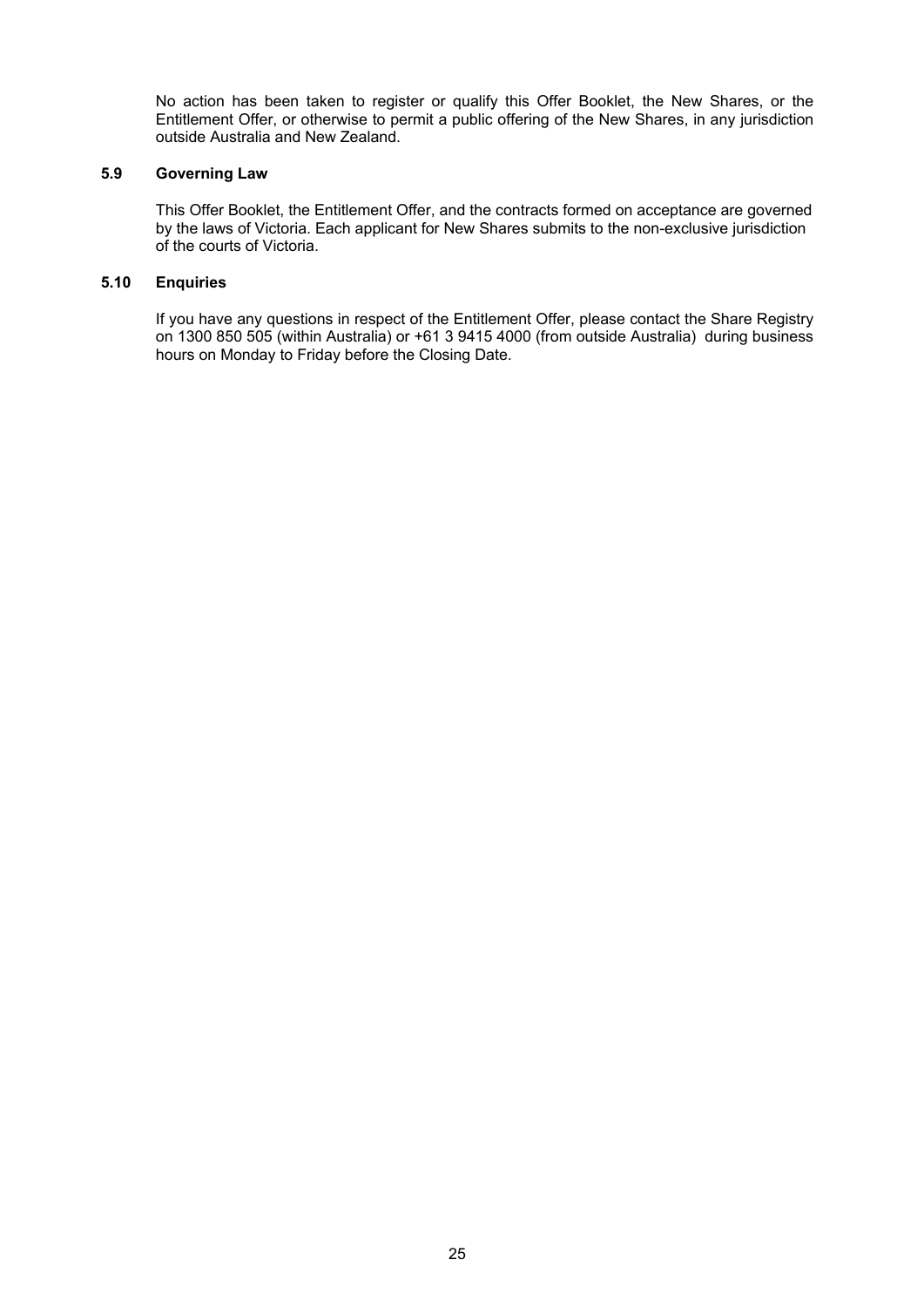No action has been taken to register or qualify this Offer Booklet, the New Shares, or the Entitlement Offer, or otherwise to permit a public offering of the New Shares, in any jurisdiction outside Australia and New Zealand.

### **5.9 Governing Law**

This Offer Booklet, the Entitlement Offer, and the contracts formed on acceptance are governed by the laws of Victoria. Each applicant for New Shares submits to the non-exclusive jurisdiction of the courts of Victoria.

### **5.10 Enquiries**

If you have any questions in respect of the Entitlement Offer, please contact the Share Registry on 1300 850 505 (within Australia) or +61 3 9415 4000 (from outside Australia) during business hours on Monday to Friday before the Closing Date.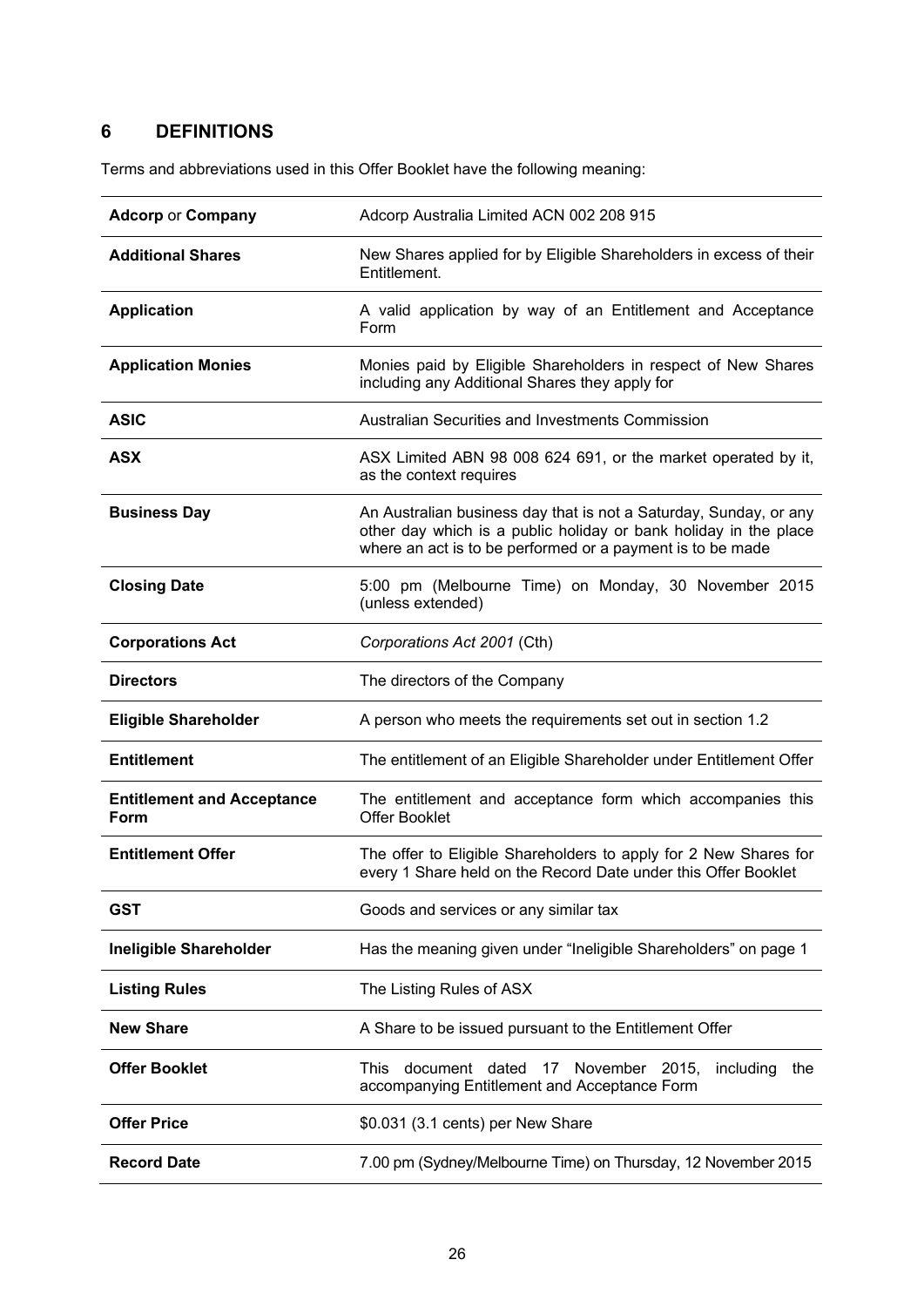# **6 DEFINITIONS**

Terms and abbreviations used in this Offer Booklet have the following meaning:

| <b>Adcorp or Company</b>                  | Adcorp Australia Limited ACN 002 208 915                                                                                                                                                            |  |  |
|-------------------------------------------|-----------------------------------------------------------------------------------------------------------------------------------------------------------------------------------------------------|--|--|
| <b>Additional Shares</b>                  | New Shares applied for by Eligible Shareholders in excess of their<br>Entitlement.                                                                                                                  |  |  |
| <b>Application</b>                        | A valid application by way of an Entitlement and Acceptance<br>Form                                                                                                                                 |  |  |
| <b>Application Monies</b>                 | Monies paid by Eligible Shareholders in respect of New Shares<br>including any Additional Shares they apply for                                                                                     |  |  |
| <b>ASIC</b>                               | Australian Securities and Investments Commission                                                                                                                                                    |  |  |
| <b>ASX</b>                                | ASX Limited ABN 98 008 624 691, or the market operated by it,<br>as the context requires                                                                                                            |  |  |
| <b>Business Day</b>                       | An Australian business day that is not a Saturday, Sunday, or any<br>other day which is a public holiday or bank holiday in the place<br>where an act is to be performed or a payment is to be made |  |  |
| <b>Closing Date</b>                       | 5:00 pm (Melbourne Time) on Monday, 30 November 2015<br>(unless extended)                                                                                                                           |  |  |
| <b>Corporations Act</b>                   | Corporations Act 2001 (Cth)                                                                                                                                                                         |  |  |
| <b>Directors</b>                          | The directors of the Company                                                                                                                                                                        |  |  |
| <b>Eligible Shareholder</b>               | A person who meets the requirements set out in section 1.2                                                                                                                                          |  |  |
| <b>Entitlement</b>                        | The entitlement of an Eligible Shareholder under Entitlement Offer                                                                                                                                  |  |  |
| <b>Entitlement and Acceptance</b><br>Form | The entitlement and acceptance form which accompanies this<br><b>Offer Booklet</b>                                                                                                                  |  |  |
| <b>Entitlement Offer</b>                  | The offer to Eligible Shareholders to apply for 2 New Shares for<br>every 1 Share held on the Record Date under this Offer Booklet                                                                  |  |  |
| <b>GST</b>                                | Goods and services or any similar tax                                                                                                                                                               |  |  |
| <b>Ineligible Shareholder</b>             | Has the meaning given under "Ineligible Shareholders" on page 1                                                                                                                                     |  |  |
| <b>Listing Rules</b>                      | The Listing Rules of ASX                                                                                                                                                                            |  |  |
| <b>New Share</b>                          | A Share to be issued pursuant to the Entitlement Offer                                                                                                                                              |  |  |
| <b>Offer Booklet</b>                      | document dated<br><b>This</b><br>17 November 2015,<br>including<br>the<br>accompanying Entitlement and Acceptance Form                                                                              |  |  |
| <b>Offer Price</b>                        | \$0.031 (3.1 cents) per New Share                                                                                                                                                                   |  |  |
| <b>Record Date</b>                        | 7.00 pm (Sydney/Melbourne Time) on Thursday, 12 November 2015                                                                                                                                       |  |  |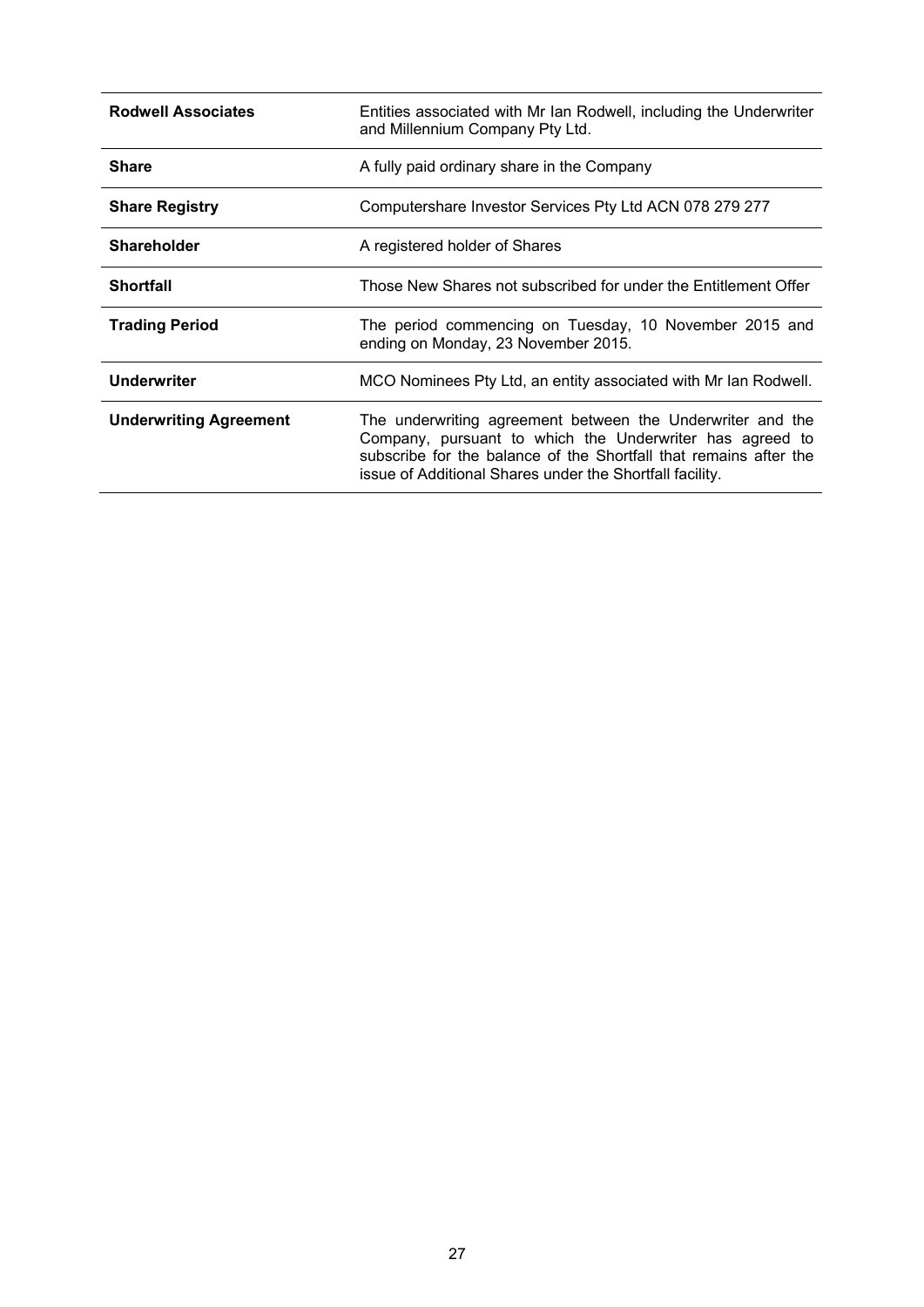| <b>Rodwell Associates</b>     | Entities associated with Mr Ian Rodwell, including the Underwriter<br>and Millennium Company Pty Ltd.                                                                                                                                                   |  |
|-------------------------------|---------------------------------------------------------------------------------------------------------------------------------------------------------------------------------------------------------------------------------------------------------|--|
| <b>Share</b>                  | A fully paid ordinary share in the Company                                                                                                                                                                                                              |  |
| <b>Share Registry</b>         | Computershare Investor Services Pty Ltd ACN 078 279 277                                                                                                                                                                                                 |  |
| <b>Shareholder</b>            | A registered holder of Shares                                                                                                                                                                                                                           |  |
| <b>Shortfall</b>              | Those New Shares not subscribed for under the Entitlement Offer                                                                                                                                                                                         |  |
| <b>Trading Period</b>         | The period commencing on Tuesday, 10 November 2015 and<br>ending on Monday, 23 November 2015.                                                                                                                                                           |  |
| <b>Underwriter</b>            | MCO Nominees Pty Ltd, an entity associated with Mr Ian Rodwell.                                                                                                                                                                                         |  |
| <b>Underwriting Agreement</b> | The underwriting agreement between the Underwriter and the<br>Company, pursuant to which the Underwriter has agreed to<br>subscribe for the balance of the Shortfall that remains after the<br>issue of Additional Shares under the Shortfall facility. |  |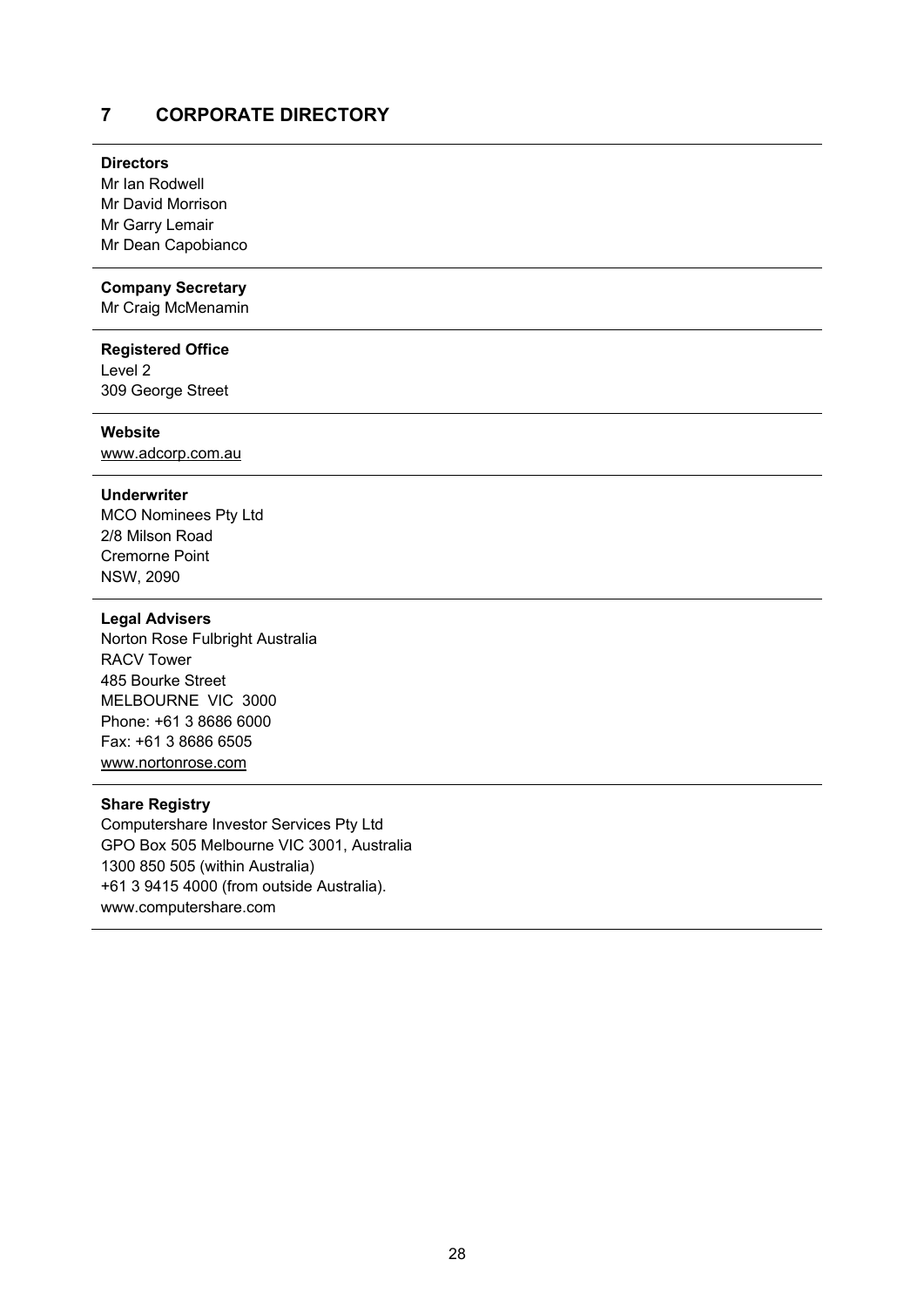### **7 CORPORATE DIRECTORY**

### **Directors**

Mr Ian Rodwell Mr David Morrison Mr Garry Lemair Mr Dean Capobianco

### **Company Secretary**

Mr Craig McMenamin

### **Registered Office**

Level 2 309 George Street

### **Website**

www.adcorp.com.au

### **Underwriter**

MCO Nominees Pty Ltd 2/8 Milson Road Cremorne Point NSW, 2090

### **Legal Advisers**

Norton Rose Fulbright Australia RACV Tower 485 Bourke Street MELBOURNE VIC 3000 Phone: +61 3 8686 6000 Fax: +61 3 8686 6505 www.nortonrose.com

### **Share Registry**

Computershare Investor Services Pty Ltd GPO Box 505 Melbourne VIC 3001, Australia 1300 850 505 (within Australia) +61 3 9415 4000 (from outside Australia). www.computershare.com